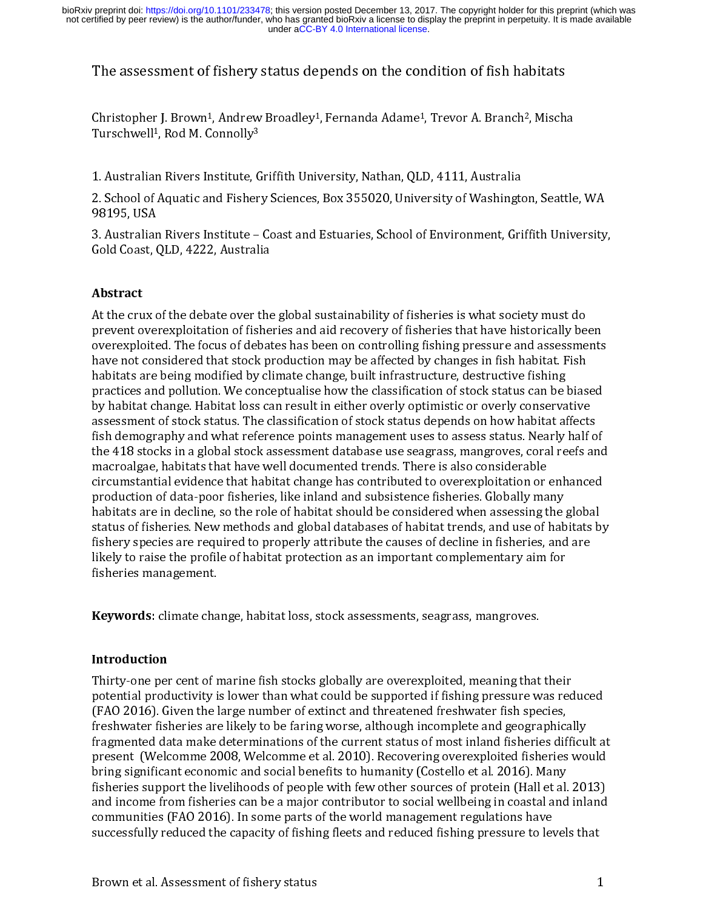The assessment of fishery status depends on the condition of fish habitats

Christopher J. Brown-, Antirew Broadley-, Fernanda Adame-, Trevor A. Branch-, Mischa<br>Turschwell<sup>1</sup>, Rod M. Connolly<sup>3</sup><br>1. Australian Rivers Institute, Griffith University, Nathan, QLD, 4111, Australia<br>2. School of Aquatic Turschwell<sup>2</sup>, Rod M. Connolly<sup>9</sup><br>1. Australian Rivers Institute, G<br>2. School of Aquatic and Fisher<br>98195, USA<br>3. Australian Rivers Institute –<br>Gold Coast, QLD, 4222, Australi<br>**Abstract**<br>At the crux of the debate over t<br>pr

 2. School of Aquatic and Fishery Sciences, Box 355020, University of Washington (1981)<br>198195, USA<br>3. Australian Rivers Institute – Coast and Estuaries, School of Environment, Grifficold Coast, QLD, 4222, Australia<br>1981 (1 2. School of Environment, Griffith University (1981)<br>2. School of Anti-Carly School of Environment, Griffith University<br>2. School Coast, QLD, 4222, Australia<br>2. Abstract<br>2. At the crux of the debate over the global sustain 9999, 9999<br>3. Australiar<br>Gold Coast, (<br>**Abstract**<br>At the crux c<br>prevent ove<br>overexploite<br>have not cor<br>habitats are<br>practices an<br>by habitat cl Gold Coast, QLD, 4222, Australia<br>
Abstract<br>
At the crux of the debate over the global sustainability of fisheries is what society must do<br>
prevent overexploitation of fisheries and aid recovery of fisheries that have histo Abstract<br>At the crux of the debate over the<br>prevent overexploitation of fishe<br>overexploited. The focus of debat<br>have not considered that stock p:<br>habitats are being modified by cl<br>practices and pollution. We conce<br>by habit Abstract<br>At the cru<br>prevent o<br>overexplo<br>have not d<br>habitats a<br>practices<br>by habitat<br>assessme:<br>fish demo<br>the 418 st<br>macroalga<br>circumsta prevent overexploitation of fisheries and aid recovery of fisheries that have historically be<br>overexploited. The focus of debates has been on controlling fishing pressure and assessme<br>have not considered that stock product overexploited. The focus of debates has been on controlling fishing pressure and assessments<br>have not considered that stock production may be affected by changes in fish habitat. Fish<br>habitats are being modified by climate have not considered that stock production may be affected by changes in fish habitat Fish<br>habitats are being modified by climate change, built infrastructure, destructive fishing<br>practices and pollution. We conceptualise h habitats are being modified by climate change, built infrastructure, destructive fishing<br>practices and pollution. We conceptualise how the classification of stock status can be bias<br>by habitat change. Habitat loss can resu practices and pollution. We conceptualise how the classification of stock status can be by habitat change. Habitat loss can result in either overly optimistic or overly conserva<br>assessment of stock status. The classificati by habitat change. Habitat loss can result in either overly optimistic or overly conservative assessment of stock status. The classification of stock status depends on how habitat affects fish demography and what reference assessment of stock status. The classification of stock status depends on how habitat affects fish demography and what reference points management uses to assess status. Nearly half the 418 stocks in a global stock assessm fish demography and what reference points management uses to assess status. Nearly half o<br>the 418 stocks in a global stock assessment database use seagrass, mangroves, coral reefs ar<br>macroalgae, habitats that have well doc the 418 stocks in a global stock assessment database use seagrass, mangroves, coral reefs and macroalgae, habitats that have well documented trends. There is also considerable circumstantial evidence that habitat change ha macroalgae, habitats that have well documented trends. There is also considerable<br>circumstantial evidence that habitat change has contributed to overexploitation or enhanced<br>production of data-poor fisheries, like inland a circumstantial evidence that habitat change has contributed to overexploitation or production of data-poor fisheries, like inland and subsistence fisheries. Globally ma<br>habitats are in decline, so the role of habitat shoul production of data-poor fisheries, like inland and subsistence fisheries. Globally many<br>habitats are in decline, so the role of habitat should be considered when assessing the global<br>status of fisheries. New methods and gl r and the data-poor shall the sum orter that should be considered when assessing the status of fisheries. New methods and global databases of habitat trends, and use of habitatives fishery species are required to properly status of fisheries. New methods and global databases of habitat trends, and use of habitats fishery species are required to properly attribute the causes of decline in fisheries, and are likely to raise the profile of hab

# Introduction

fishery species are required to properly attribute the causes of decline in fisheries, and are<br>likely to raise the profile of habitat protection as an important complementary aim for<br>fisheries management.<br>**Keywords:** clima likely to raise the profile of habitat protection as an important complementary aim for<br>fisheries management.<br>**Keywords:** climate change, habitat loss, stock assessments, seagrass, mangroves.<br>Intr**oduction**<br>Thirty-one per Isheries management<br> **Keywords:** climate change, habitat loss, stock assessments, seagrass, mangroves.<br>
Introduction<br>
Thirty-one per cent of marine fish stocks globally are overexploited, meaning that their<br>
potential prod Keywords: climate cha<br> **Introduction**<br>
Thirty-one per cent of r<br>
potential productivity i<br>
(FAO 2016). Given the l<br>
freshwater fisheries are<br>
fragmented data make<br>
present (Welcomme 20<br>
hring significant econom Keywords: climate change, habitat loss, stock assessments, seagrass, mangroves.<br>
Introduction<br>
Thirty-one per cent of marine fish stocks globally are overexploited, meaning that<br>
potential productivity is lower than what c 】 - 】(f f lk f c c s potential productivity is lower than what could be supported if fishing pressure was red (FAO 2016). Given the large number of extinct and threatened freshwater fish species, freshwater fisheries are likely to be faring wo (FAO 2016). Given the large number of extinct and threatened freshwater fish species, freshwater fisheries are likely to be faring worse, although incomplete and geographically fragmented data make determinations of the cu freshwater fisheries are likely to be faring worse, although incomplete and geographics<br>fragmented data make determinations of the current status of most inland fisheries dif<br>present (Welcomme 2008, Welcomme et al. 2010). fragmented data make determinations of the current status of most inland fisheries difficulations present (Welcomme 2008, Welcomme et al. 2010). Recovering overexploited fisheries wo<br>bring significant economic and social b present (Welcomme 2008, Welcomme et al. 2010). Recovering overexploited fisheries would<br>bring significant economic and social benefits to humanity (Costello et al. 2016). Many<br>fisheries support the livelihoods of people wi bring significant economic and social benefits to humanity (Costello et al. 2016). Many<br>fisheries support the livelihoods of people with few other sources of protein (Hall et al. 2013)<br>and income from fisheries can be a ma fisheries support the livelihoods of people with few other sources of protein (Hall et al.<br>and income from fisheries can be a major contributor to social wellbeing in coastal and<br>communities (FAO 2016). In some parts of th and income from fisheries can be a major contributor to social wellbeing in coastal and inland<br>communities (FAO 2016). In some parts of the world management regulations have<br>successfully reduced the capacity of fishing fle communities (FAO 2016). In some parts of the world management regulations have<br>successfully reduced the capacity of fishing fleets and reduced fishing pressure to levels that<br>Brown et al. Assessment of fishery status successfully reduced the capacity of fishing fleets and reduced fishing pressure to lever<br>Brown et al. Assessment of fishery status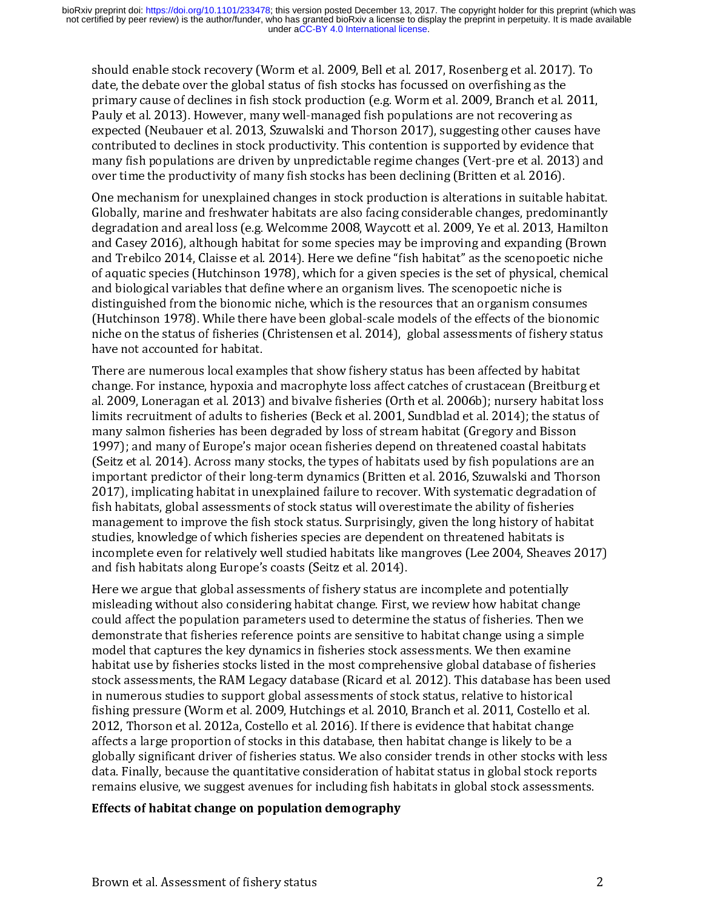date, the debate over the global status of fish stocks has focussed on overfishing as the primary cause of declines in fish stock production (e.g. Worm et al. 2009, Branch et al. 2011 Pauly et al. 2013). However, many well

primary cause of declines in fish stock production (e.g. Worm et al. 2009, Branch et al. 2<br>Pauly et al. 2013). However, many well-managed fish populations are not recovering as<br>expected (Neubauer et al. 2013, Szuwalski and Pauly et al. 2013). However, many well-managed fish populations are not recovering as<br>expected (Neubauer et al. 2013, Szuwalski and Thorson 2017), suggesting other causes have<br>contributed to declines in stock productivity. expected (Neubauer et al. 2013, Szuwalski and Thorson 2017), suggesting other causes<br>contributed to declines in stock productivity. This contention is supported by evidence t<br>many fish populations are driven by unpredictab contributed to declines in stock productivity. This contention is supported by evidence that<br>many fish populations are driven by unpredictable regime changes (Vert-pre et al. 2013) and<br>over time the productivity of many fi many fish populations are driven by unpredictable regime changes (Vert-pre et al. 2013) an<br>over time the productivity of many fish stocks has been declining (Britten et al. 2016).<br>One mechanism for unexplained changes in s over time the productivity of many fish stocks has been declining (Britten et al. 2016).<br>One mechanism for unexplained changes in stock production is alterations in suitable habitat.<br>Globally, marine and freshwater habitat One mechanism for unexplained changes in stock production is alterations in suitable I<br>Globally, marine and freshwater habitats are also facing considerable changes, predom<br>degradation and areal loss (e.g. Welcomme 2008, W Globally, marine and freshwater habitats are also facing considerable changes, predominantly degradation and areal loss (e.g. Welcomme 2008, Waycott et al. 2009, Ye et al. 2013, Hamilton and Casey 2016), although habitat f degradation and areal loss (e.g. Welcomme 2008, Waycott et al. 2009, Ye et al. 2013, Hamilton and Casey 2016), although habitat for some species may be improving and expanding (Brown and Trebilco 2014, Claisse et al. 2014) and Casey 2016), although habitat for some species may be improving and expanding (Brown<br>and Trebilco 2014, Claisse et al. 2014). Here we define "fish habitat" as the scenopoetic niche<br>of aquatic species (Hutchinson 1978), and Trebilco 2014, Claisse et al. 2014). Here we define "fish habitat" as the scenopoetic niche<br>of aquatic species (Hutchinson 1978), which for a given species is the set of physical, chemical<br>and biological variables that

of aquatic species (Hutchinson 1978), which for a given species is the set of physical, chemica<br>and biological variables that define where an organism lives. The scenopoetic niche is<br>distinguished from the bionomic niche, and biological variables that define where an organism lives. The scenopoetic niche is<br>distinguished from the bionomic niche, which is the resources that an organism consumes<br>(Hutchinson 1978). While there have been global distinguished from the bionomic niche, which is the resources that an organism consu<br>(Hutchinson 1978). While there have been global-scale models of the effects of the bio<br>niche on the status of fisheries (Christensen et a (Hutchinson 1978). While there have been global-scale models of the effects of the bionom<br>niche on the status of fisheries (Christensen et al. 2014), global assessments of fishery stat<br>have not accounted for habitat.<br>There inche on the status of fisheries (Christensen et al. 2014), global assessments of fishery status<br>have not accounted for habitat.<br>There are numerous local examples that show fishery status has been affected by habitat<br>chang have not accounted for habitat.<br>There are numerous local examples that show fishery status has been affected by habitat<br>change. For instance, hypoxia and macrophyte loss affect catches of crustacean (Breitburg et<br>al. 2009, There are numerous local examples There are numerous local examples and 2009, Loneragan et al. 2013) limits recruitment of adults to filmany salmon fisheries has been 1997); and many of Europe's many important predictor of change. For instance, hypoxia and macrophyte loss affect catches of crustacean (Breitburg<br>al. 2009, Loneragan et al. 2013) and bivalve fisheries (Orth et al. 2006b); nursery habitat<br>limits recruitment of adults to fisherie al. 2009, Loneragan et al. 2013) and bivalve fisheries (Orth et al. 2006b); nursery habitat loss<br>limits recruitment of adults to fisheries (Beck et al. 2001, Sundblad et al. 2014); the status of<br>limits recruitment of adult limits recruitment of adults to fisheries (Beck et al. 2001, Sundblad et al. 2014); the status of many salmon fisheries has been degraded by loss of stream habitat (Gregory and Bisson 1997); and many of Europe's major ocea many salmon fisheries has been degraded by loss of stream habitat (Gregory and Bisson<br>1997); and many of Europe's major ocean fisheries depend on threatened coastal habitats<br>(Seitz et al. 2014). Across many stocks, the typ 1997); and many of Europe's major ocean fisheries depend on threatened coastal habitat (Seitz et al. 2014). Across many stocks, the types of habitats used by fish populations are important predictor of their long-term dyn (Seitz et al. 2014). Across many stocks, the types of habitats used by fish populations are aimportant predictor of their long-term dynamics (Britten et al. 2016, Szuwalski and Thorse 2017), implicating habitat in unexplai important predictor of their long-term dynamics (Britten et al. 2016, Szuwalski and Thorson<br>2017), implicating habitat in unexplained failure to recover. With systematic degradation of<br>fish habitats, global assessments of

2017), implicating habitat in unexplained failure to recover. With systematic degradation of fish habitats, global assessments of stock status will overestimate the ability of fisheries management to improve the fish stock fish habitats, global assessments of stock status will overestimate the ability of fisheries<br>management to improve the fish stock status. Surprisingly, given the long history of habitat<br>studies, knowledge of which fisherie management to improve the fish stock status. Surprisingly, given the long history of habitaties, knowledge of which fisheries species are dependent on threatened habitats is incomplete even for relatively well studied habi studies, knowledge of which fisheries species are dependent on threatened habitats is<br>incomplete even for relatively well studied habitats like mangroves (Lee 2004, Sheaves 201<br>and fish habitats along Europe's coasts (Seit incomplete even for relatively well studied habitats like mangroves (Lee 2004, Sheave:<br>and fish habitats along Europe's coasts (Seitz et al. 2014).<br>Here we argue that global assessments of fishery status are incomplete and and fish habitats along Europe's coasts (Seitz et al. 2014).<br>Here we argue that global assessments of fishery status are incomplete and potentially<br>misleading without also considering habitat change. First, we review how h and disturbation along different considering that distant misleading without also considering habitat change. First, could affect the population parameters used to determine demonstrate that fisheries reference points are misleading without also considering habitat change. First, we review how habitat change<br>could affect the population parameters used to determine the status of fisheries. Then v<br>demonstrate that fisheries reference points a could affect the population parameters used to determine the status of fisheries. Then we<br>demonstrate that fisheries reference points are sensitive to habitat change using a simple<br>model that captures the key dynamics in f demonstrate that fisheries reference points are sensitive to habitat change using a simple model that captures the key dynamics in fisheries stock assessments. We then examine habitat use by fisheries stocks listed in the model that captures the key dynamics in fisheries stock assessments. We then examine<br>habitat use by fisheries stocks listed in the most comprehensive global database of fisherie<br>stock assessments, the RAM Legacy database ( habitat use by fisheries stocks listed in the most comprehensive global database of fishe<br>stock assessments, the RAM Legacy database (Ricard et al. 2012). This database has bee<br>in numerous studies to support global assessm stock assessments, the RAM Legacy database (Ricard et al. 2012). This database has been us<br>in numerous studies to support global assessments of stock status, relative to historical<br>fishing pressure (Worm et al. 2009, Hutch in numerous studies to support global assessments of stock status, relative to historical<br>fishing pressure (Worm et al. 2009, Hutchings et al. 2010, Branch et al. 2011, Costello et al.<br>2012, Thorson et al. 2012a, Costello fishing pressure (Worm et al. 2009, Hutchings et al. 2010, Branch et al. 2011, Costello et 2012, Thorson et al. 2012a, Costello et al. 2016). If there is evidence that habitat change affects a large proportion of stocks in 2012, Thorson et al. 2012a, Costello et al. 2016). If there is evidence that habitat change affects a large proportion of stocks in this database, then habitat change is likely to be a globally significant driver of fisher affects a large proportion of stocks in this database, then habitat change is likely to be a globally significant driver of fisheries status. We also consider trends in other stocks with data. Finally, because the quantita globally significant driver of fisheries status. We also consider trends in other stocks with data. Finally, because the quantitative consideration of habitat status in global stock switch data. Finally, because the quanti global status in global stock reports data. Finally, because the quantitative consideration of habitat status in global stock reports remains elusive, we suggest avenues for including fish habitats in global stock assessme denotes the support of the support of the quantitative consideration of the probability consideration of the provideration of the effects of habitat change on population demography<br>Effects of habitat change on population d

# reffects of habitat change on population demography<br>Brown et al. Assessment of fishery status Effects of habitat change on population demography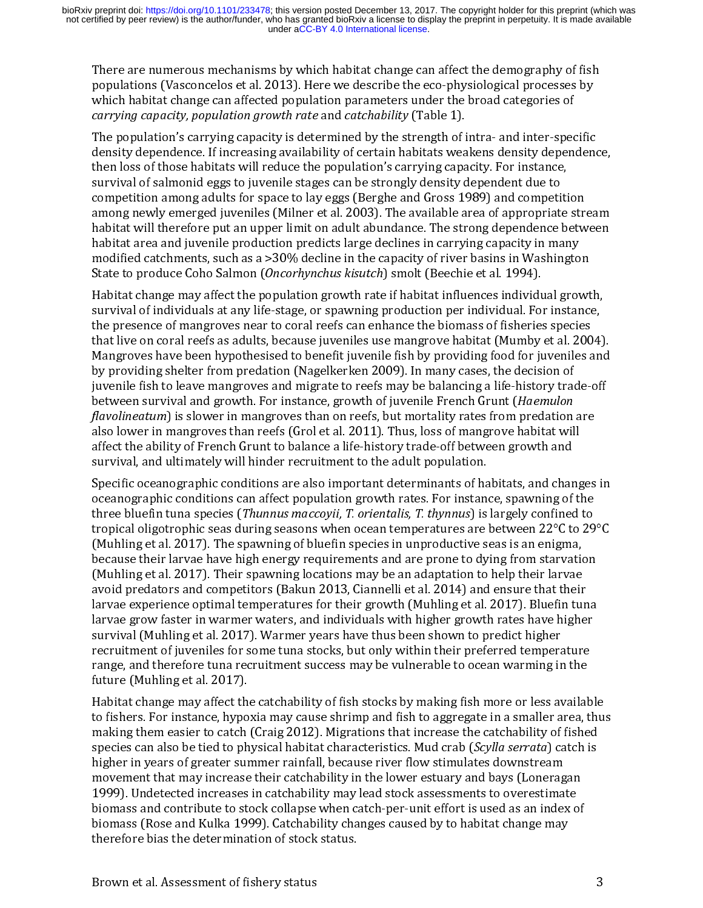populations (Vasconcelos et al. 2013). Here we describe the eco-physiological processes by<br>which habitat change can affected population parameters under the broad categories of<br>carrying capacity, population growth rate and which habitat change can affected population parameters under the broad categories of carrying capacity, population growth rate and catchability (Table 1).<br>The population's carrying capacity is determined by the strength o carrying capacity, population growth rate and catchability (Table 1).<br>The population's carrying capacity is determined by the strength of intra- and inter-spectensity dependence. If increasing availability of certain habit carrying capacity, population grownt rate and catchability (Table 1).<br>The population's carrying capacity is determined by the strength of idensity dependence. If increasing availability of certain habitats wea<br>then loss of density dependence. If increasing availability of certain habitats weakens density dependent<br>then loss of those habitats will reduce the population's carrying capacity. For instance,<br>survival of salmonid eggs to juvenile s then loss of those habitats will reduce the population's carrying capacity. For instance,<br>survival of salmonid eggs to juvenile stages can be strongly density dependent due to<br>competition among adults for space to lay eggs survival of salmonid eggs to juvenile stages can be strongly density dependent due to<br>competition among adults for space to lay eggs (Berghe and Gross 1989) and competiti<br>among newly emerged juveniles (Milner et al. 2003).

competition among adults for space to lay eggs (Berghe and Gross 1989) and competition among adults for space to lay eggs (Berghe and Gross 1989) and competity among newly emerged juveniles (Milner et al. 2003). The availa among newly emerged juveniles (Milner et al. 2003). The available area of appropriate streation about the propriate streation and interefore put an upper limit on adult abundance. The strong dependence between thabitat are habitat will therefore put an upper limit on adult abundance. The strong dependence between<br>habitat area and juvenile production predicts large declines in carrying capacity in many<br>modified catchments, such as a >30% decl habitat area and juvenile production predicts large declines in carrying capacity in many modified catchments, such as a >30% decline in the capacity of river basins in Washington State to produce Coho Salmon (*Oncorhynchu* modified catchments, such as a >30% decline in the capacity of river basins in Washingto<br>State to produce Coho Salmon (*Oncorhynchus kisutch*) smolt (Beechie et al. 1994).<br>Habitat change may affect the population growth ra State to produce Coho Salmon (*Oncorhynchus kisutch*) smolt (Beechie et al. 1994).<br>Habitat change may affect the population growth rate if habitat influences individual growt<br>survival of individuals at any life-stage, or s Bublish to produce cono Salmon (*Oncorhynchus kisuten*) smolt (Beechie et al. 1994).<br>Habitat change may affect the population growth rate if habitat influences individuals survival of individuals at any life-stage, or spaw survival of individuals at any life-stage, or spawning production per individual. For instance, the presence of mangroves near to coral reefs can enhance the biomass of fisheries species that live on coral reefs as adults, the presence of mangroves near to coral reefs can enhance the biomass of fisheries species<br>that live on coral reefs as adults, because juveniles use mangrove habitat (Mumby et al. 2004)<br>Mangroves have been hypothesised to that live on coral reefs as adults, because juveniles use mangrove habitat (Mumby et al. 200<br>Mangroves have been hypothesised to benefit juvenile fish by providing food for juveniles a<br>by providing shelter from predation ( Mangroves have been hypothesised to benefit juvenile fish by providing food for juveniles and<br>by providing shelter from predation (Nagelkerken 2009). In many cases, the decision of<br>juvenile fish to leave mangroves and migr by providing shelter from predation (Nagelkerken 2009). In many cases, the decision of<br>juvenile fish to leave mangroves and migrate to reefs may be balancing a life-history trade-off<br>between survival and growth. For instan

juvenile fish to leave mangroves and migrate to reefs may be balancing a life-history trace between survival and growth. For instance, growth of juvenile French Grunt (*Haemulon flavolineatum*) is slower in mangroves than between survival and growth. For instance, growth of juvenile French Grunt (*Haemulon flavolineatum*) is slower in mangroves than on reefs, but mortality rates from predation are also lower in mangroves than reefs (Grol et between survival and growth. For instance, growth or juvenile referred functionals and growth and growth and growth and also lower in mangroves than reefs (Grol et al. 2011). Thus, loss of mangrove habitat will affect the many is slower in mangroves than reefs, but more any check and interest and the dalso lower in mangroves than reefs (Grol et al. 2011). Thus, loss of mangrove habitat will surfaifect the ability of French Grunt to balance affect the ability of French Grunt to balance a life-history trade-off between growth and<br>survival, and ultimately will hinder recruitment to the adult population.<br>Specific oceanographic conditions are also important deter survival, and ultimately will hinder recruitment to the adult population.<br>Specific oceanographic conditions are also important determinants of habitats, and char<br>oceanographic conditions can affect population growth rates. Specific oceanographic conditions are also important determinants of haceanographic conditions can affect population growth rates. For instanthree bluefin tuna species (*Thunnus maccoyii, T. orientalis, T. thynnus*) is tro oceanographic conditions can affect population growth rates. For instance, spawning of the three bluefin tuna species (*Thunnus maccoyii*, *T. orientalis, T. thynnus*) is largely confined to tropical oligotrophic seas duri three bluefin tuna species (*Thunnus maccoyii, T. orientalis, T. thynnus*) is largely confined to<br>tropical oligotrophic seas during seasons when ocean temperatures are between 22°C to 29<br>(Muhling et al. 2017). The spawning three but a species (*Thumia similation, 1. orientalis, 1. the increased to a cycluminal of Cyclumina species (Muhling et al. 2017). The spawning of bluefin species in unproductive seas is an enigma, because their larvae h* (Muhling et al. 2017). The spawning of bluefin species in unproductive seas is an enigma, because their larvae have high energy requirements and are prone to dying from starvation (Muhling et al. 2017). Their spawning loca because their larvae have high energy requirements and are prone to dying from starvatio<br>(Muhling et al. 2017). Their spawning locations may be an adaptation to help their larvae<br>avoid predators and competitors (Bakun 2013 (Muhling et al. 2017). Their spawning locations may be an adaptation to help their larvae<br>avoid predators and competitors (Bakun 2013, Ciannelli et al. 2014) and ensure that their<br>larvae experience optimal temperatures for avoid predators and competitors (Bakun 2013, Ciannelli et al. 2014) and ensure that their<br>larvae experience optimal temperatures for their growth (Muhling et al. 2017). Bluefin tu<br>larvae grow faster in warmer waters, and i

larvae experience optimal temperatures for their growth (Muhling et al. 2017). Bluefin tun<br>larvae experience optimal temperatures for their growth (Muhling et al. 2017). Bluefin tun<br>larvae grow faster in warmer waters, and larvae grow faster in warmer waters, and individuals with higher growth rates have higher survival (Muhling et al. 2017). Warmer years have thus been shown to predict higher survival (Muhling et al. 2017). Warmer years hav survival (Muhling et al. 2017). Warmer years have thus been shown to predict higher<br>recruitment of juveniles for some tuna stocks, but only within their preferred temperature<br>range, and therefore tuna recruitment success m recruitment of juveniles for some tuna stocks, but only within their preferred temperations range, and therefore tuna recruitment success may be vulnerable to ocean warming ir future (Muhling et al. 2017).<br>Habitat change m range, and therefore tuna recruitment success may be vulnerable to ocean warming in the future (Muhling et al. 2017).<br>Habitat change may affect the catchability of fish stocks by making fish more or less availab<br>to fishers future (Muhling et al. 2017).<br>Habitat change may affect the catchability of fish stocks by making fish more or less availal<br>to fishers. For instance, hypoxia may cause shrimp and fish to aggregate in a smaller area, t<br>maki Habitat change may affect the<br>to fishers. For instance, hypo<br>making them easier to catch<br>species can also be tied to ph<br>higher in years of greater sur<br>movement that may increase<br>1999). Undetected increases<br>biomass and cont to fishers. For instance, hypoxia may cause shrimp and fish to aggregate in a smaller area, thum aking them easier to catch (Craig 2012). Migrations that increase the catchability of fished species can also be tied to phys making them easier to catch (Craig 2012). Migrations that increase the catchability of fished<br>species can also be tied to physical habitat characteristics. Mud crab (*Scylla serrata*) catch is<br>higher in years of greater su species can also be tied to physical habitat characteristics. Mud crab (*Scylla serrata*) catch is<br>higher in years of greater summer rainfall, because river flow stimulates downstream<br>movement that may increase their catch species can also be tied to physical habitat characteristics. Mud crab (Scylla serrata) catch is<br>higher in years of greater summer rainfall, because river flow stimulates downstream<br>movement that may increase their catchab movement that may increase their catchability in the lower estuary and bays (Lonerag<br>1999). Undetected increases in catchability may lead stock assessments to overestima<br>biomass and contribute to stock collapse when catchmovement that may be also that may be also that may be also the lower estimate biomass and contribute to stock collapse when catch-per-unit effort is used as an index of biomass (Rose and Kulka 1999). Catchability changes 1999). Under the contribute to stock collapse when catch-per-unit effort is used as an index obiomass (Rose and Kulka 1999). Catchability changes caused by to habitat change may therefore bias the determination of stock st biomass (Rose and Kulka 1999). Catchability changes caused by to habitat change may<br>therefore bias the determination of stock status.<br>Brown et al. Assessment of fishery status biomass (Rose and Changes 1999). Catcharing caused by the Hanger changes in the change may therefore bias the determination of stock status.<br>Brown et al. Assessment of fishery status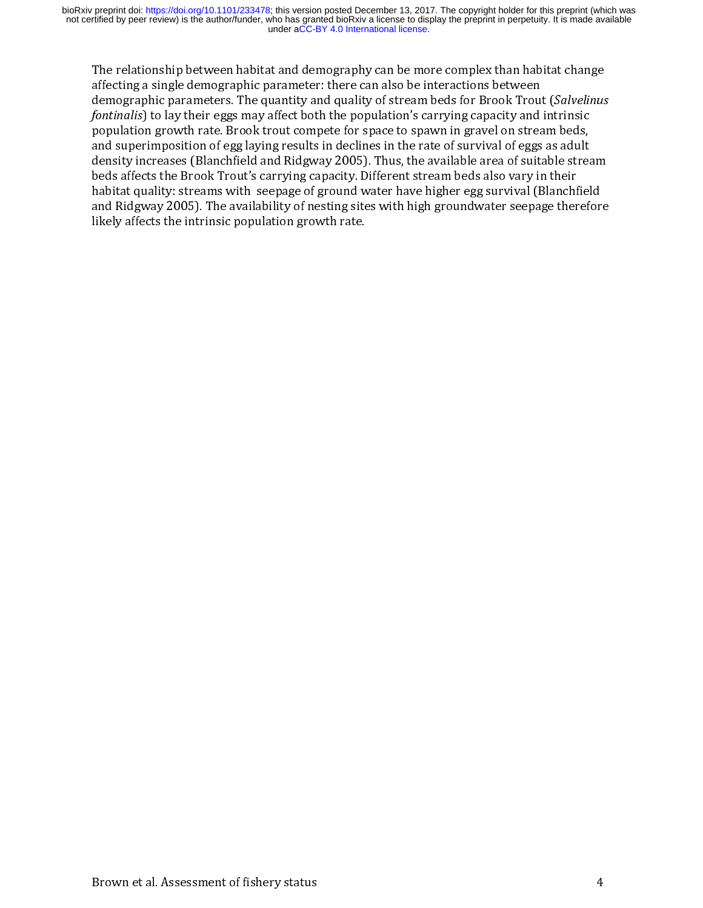affecting a single demographic parameter: there can also be interactions between<br>demographic parameters. The quantity and quality of stream beds for Brook Trout (*Salvelinus*<br>fontinalis) to lay their eggs may affect both t demographic parameters. The quantity and quality of stream beds for Brook Trou<br>fontinalis) to lay their eggs may affect both the population's carrying capacity and<br>population growth rate. Brook trout compete for space to s demographic parameters. The quantity and quantity of statem boust soft horom frontinalis) to lay their eggs may affect both the population's carrying capacity and intrinsic population growth rate. Brook trout compete for s formalis) to lay unit "eggs may ancet both the population grouplation growth rate. Brook trout compete for space to spawn in gravel on stream bels, and superimposition of egg laying results in declines in the rate of survi in and superimposition of egg laying results in declines in the rate of survival of eggs as adult density increases (Blanchfield and Ridgway 2005). Thus, the available area of suitable stream beds affects the Brook Trout's density increases (Blanchfield and Ridgway 2005). Thus, the available area of suitable streaded affects the Brook Trout's carrying capacity. Different stream beds also vary in their habitat quality: streams with seepage of density increases the Brook Trout's carrying capacity. Different stream beds also vary in their habitat quality: streams with seepage of ground water have higher egg survival (Blanchfield and Ridgway 2005). The availabilit habitat quality: streams with seepage of ground water have higher egg survival (Blanchf<br>and Ridgway 2005). The availability of nesting sites with high groundwater seepage ther<br>likely affects the intrinsic population growth and Ridgway 2005). The availability of nesting sites with high groundwater seepage therefor<br>likely affects the intrinsic population growth rate.<br> $\frac{d}{dt}$ likely affects the intrinsic population growth rate. likely affects the intrinsic population growth rate.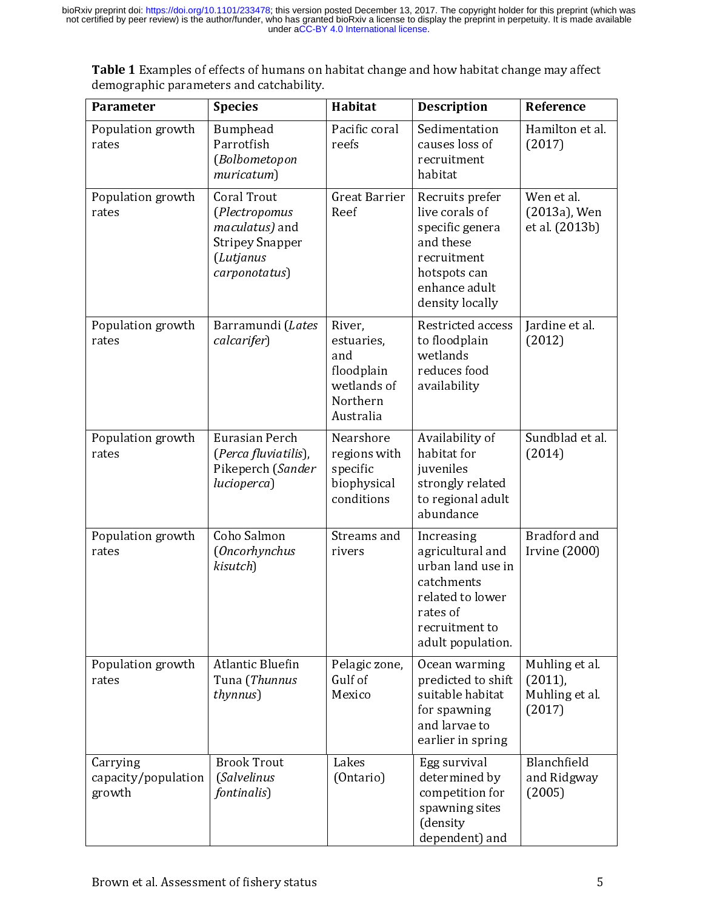|                                           | <b>Species</b>                                                                                         | <b>Habitat</b>                                                                    | <b>Description</b>                                                                                                                       | Reference                                                |
|-------------------------------------------|--------------------------------------------------------------------------------------------------------|-----------------------------------------------------------------------------------|------------------------------------------------------------------------------------------------------------------------------------------|----------------------------------------------------------|
| Population growth<br>rates                | Bumphead<br>Parrotfish<br>(Bolbometopon<br>muricatum)                                                  | Pacific coral<br>reefs                                                            | Sedimentation<br>causes loss of<br>recruitment<br>habitat                                                                                | Hamilton et al.<br>(2017)                                |
| Population growth<br>rates                | Coral Trout<br>(Plectropomus<br>maculatus) and<br><b>Stripey Snapper</b><br>(Lutjanus<br>carponotatus) | Great Barrier<br>Reef                                                             | Recruits prefer<br>live corals of<br>specific genera<br>and these<br>recruitment<br>hotspots can<br>enhance adult<br>density locally     | Wen et al.<br>(2013a), Wen<br>et al. (2013b)             |
| Population growth<br>rates                | Barramundi (Lates<br>calcarifer)                                                                       | River,<br>estuaries,<br>and<br>floodplain<br>wetlands of<br>Northern<br>Australia | Restricted access<br>to floodplain<br>wetlands<br>reduces food<br>availability                                                           | Jardine et al.<br>(2012)                                 |
| Population growth<br>rates                | Eurasian Perch<br>(Perca fluviatilis),<br>Pikeperch (Sander<br>lucioperca)                             | Nearshore<br>regions with<br>specific<br>biophysical<br>conditions                | Availability of<br>habitat for<br>juveniles<br>strongly related<br>to regional adult<br>abundance                                        | Sundblad et al.<br>(2014)                                |
| Population growth<br>rates                | Coho Salmon<br>(Oncorhynchus<br>kisutch)                                                               | Streams and<br>rivers                                                             | Increasing<br>agricultural and<br>urban land use in<br>catchments<br>related to lower<br>rates of<br>recruitment to<br>adult population. | Bradford and<br>Irvine (2000)                            |
| Population growth<br>rates                | Atlantic Bluefin<br>Tuna (Thunnus<br>thynnus)                                                          | Pelagic zone,<br>Gulf of<br>Mexico                                                | Ocean warming<br>predicted to shift<br>suitable habitat<br>for spawning<br>and larvae to<br>earlier in spring                            | Muhling et al.<br>$(2011)$ ,<br>Muhling et al.<br>(2017) |
| Carrying<br>capacity/population<br>growth | <b>Brook Trout</b><br>(Salvelinus<br><i>fontinalis</i> )                                               | Lakes<br>(Ontario)                                                                | Egg survival<br>determined by<br>competition for<br>spawning sites<br>(density<br>dependent) and                                         | Blanchfield<br>and Ridgway<br>(2005)                     |
| Brown et al. Assessment of fishery status |                                                                                                        |                                                                                   |                                                                                                                                          | 5                                                        |

 $\frac{d}{dx}$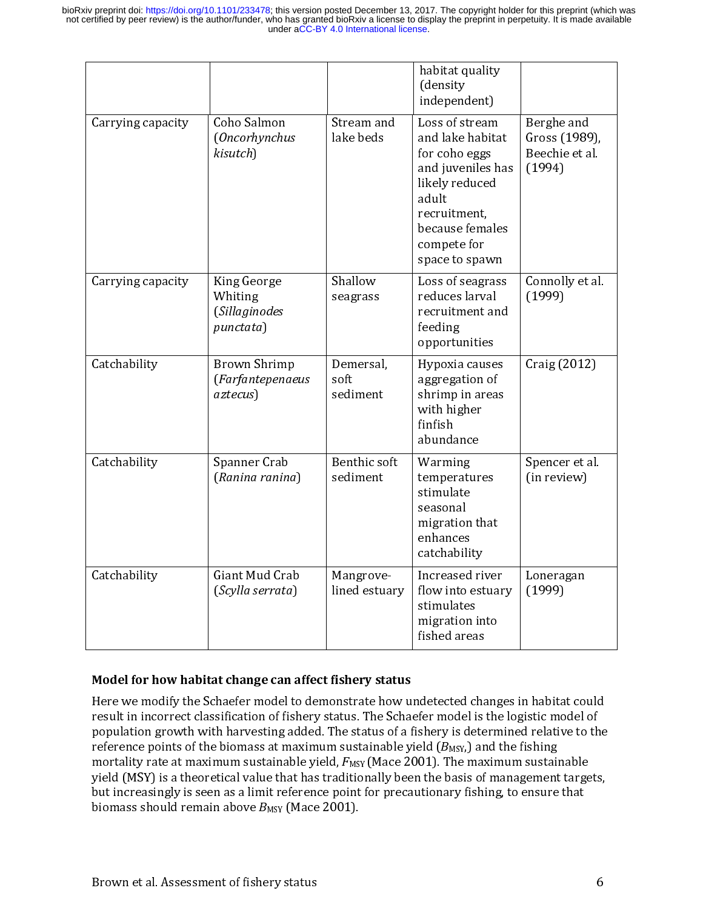|                   |                                                                                                                                                                                                                                                                                                                                                                                                                                                       |                               | habitat quality<br>(density)<br>independent)                                                                                                                            |                                                        |
|-------------------|-------------------------------------------------------------------------------------------------------------------------------------------------------------------------------------------------------------------------------------------------------------------------------------------------------------------------------------------------------------------------------------------------------------------------------------------------------|-------------------------------|-------------------------------------------------------------------------------------------------------------------------------------------------------------------------|--------------------------------------------------------|
| Carrying capacity | Coho Salmon<br>(Oncorhynchus<br>kisutch)                                                                                                                                                                                                                                                                                                                                                                                                              | Stream and<br>lake beds       | Loss of stream<br>and lake habitat<br>for coho eggs<br>and juveniles has<br>likely reduced<br>adult<br>recruitment,<br>because females<br>compete for<br>space to spawn | Berghe and<br>Gross (1989),<br>Beechie et al<br>(1994) |
| Carrying capacity | King George<br>Whiting<br>(Sillaginodes<br>punctata)                                                                                                                                                                                                                                                                                                                                                                                                  | Shallow<br>seagrass           | Loss of seagrass<br>reduces larval<br>recruitment and<br>feeding<br>opportunities                                                                                       | Connolly et al.<br>(1999)                              |
| Catchability      | Brown Shrimp<br>(Farfantepenaeus<br>aztecus)                                                                                                                                                                                                                                                                                                                                                                                                          | Demersal,<br>soft<br>sediment | Hypoxia causes<br>aggregation of<br>shrimp in areas<br>with higher<br>finfish<br>abundance                                                                              | Craig (2012)                                           |
| Catchability      | Spanner Crab<br>(Ranina ranina)                                                                                                                                                                                                                                                                                                                                                                                                                       | Benthic soft<br>sediment      | Warming<br>temperatures<br>stimulate<br>seasonal<br>migration that<br>enhances<br>catchability                                                                          | Spencer et al.<br>(in review)                          |
| Catchability      | Giant Mud Crab<br>(Scylla serrata)                                                                                                                                                                                                                                                                                                                                                                                                                    | Mangrove-<br>lined estuary    | Increased river<br>flow into estuary<br>stimulates<br>migration into<br>fished areas                                                                                    | Loneragan<br>(1999)                                    |
|                   | Model for how habitat change can affect fishery status<br>Here we modify the Schaefer model to demonstrate how undetected changes in habitat could<br>result in incorrect classification of fishery status. The Schaefer model is the logistic model of<br>population growth with harvesting added. The status of a fishery is determined relative to the<br>reference points of the biomass at maximum sustainable yield $(B_{MSY})$ and the fishing |                               |                                                                                                                                                                         |                                                        |

### Model for how habitat change can affect fishery status

Catal Catal Contract Contract Contract Contract Contract Contract Contract Contract Creative Creative Creative Creative Creative Creative Creative Creative Creative Creative Creative Creative Creative Creative Creative Cre (Scylla serrata)<br>at change can a<br>chaefer model to<br>sification of fish<br>e biomass at may<br>mum sustainable<br>tical value that mortality rate at maximum sustainable yield,  $F_{\text{MSY}}$  (Mace 2001). The maximum sustainable yield (MSY) is a theoretical value that has traditionally been the basis of management targets, fishery status<br>
fishery status<br>
postrate how<br>
latus. The Sch.<br>
The status of a<br>
distant for means Flow into estuar<br>stimulates<br>migration into<br>fished areas<br>detected change<br>fer model is the<br>shery is determined (B<sub>MSY</sub>) and the basis of me Frame Frames<br>stimulates<br>migration into<br>fished areas<br>detected changes<br>fer model is the lc<br>shery is determined<br>(B<sub>MSY</sub>) and the<br>01). The maximure<br>itions of frames migration i<br>fished area<br>detected cl<br>fer model is<br>shery is det<br>ald (B<sub>MSY</sub>) a<br>01). The m.<br>1 the basis c<br>tionary fis migration<br>fished areas<br>detected chang<br>fer model is the<br>shery is determ<br>eld (B<sub>MSY</sub>,) and 1<br>01). The maxin<br>the basis of m<br>tionary fishing detected charge<br>fired areas for model is<br>shery is deterfield ( $B_{\rm MSY}$ ) and the basis of<br>the basis of thing fishing the basis of The Case<br>(1999)<br>I habitat coustic model<br>I relative to<br>shing<br>sustainable (1999)<br>
In habita<br>
stic mo<br>
I relativ<br>
sustaina<br>
ement t **IIIIIIII**<br>11112比比 result in incorrect classification of fishery status. The Schaefer model is the logistic model of<br>population growth with harvesting added. The status of a fishery is determined relative to the<br>reference points of the biom population growth with harvesting added. The status of a fishery is determined relative to the reference points of the biomass at maximum sustainable yield ( $B_{\text{MSV}}$ ) and the fishing mortality rate at maximum sustainabl reference points of the biomass at maximum sustainable yield  $(B_{\text{MSY}})$  and the fishing<br>mortality rate at maximum sustainable yield,  $F_{\text{MSY}}$  (Mace 2001). The maximum sustainable<br>yield (MSY) is a theoretical value that reference points of the biomass at maximum sustainable yield ( $D_{MST}$ ) and the fishing mortality rate at maximum sustainable yield,  $F_{MST}$  (Mace 2001). The maximum sustainable yield (MSY) is a theoretical value that has mortanty rate at maximum sustainable yield,  $F_{\text{MST}}$  (Mace 2001). The maximum sustainable yield (MSY) is a theoretical value that has traditionally been the basis of management targe<br>but increasingly is seen as a limit your (MSY) is a theorem in the has the basis of manipulating of manipulating in the basis of but increasingly is seen as a limit reference point for precautionary fishing, to ensure that biomass should remain above  $B_{\text{$ biomass should remain above  $B_{\text{MSY}}$  (Mace 2001).<br>Brown et al. Assessment of fishery status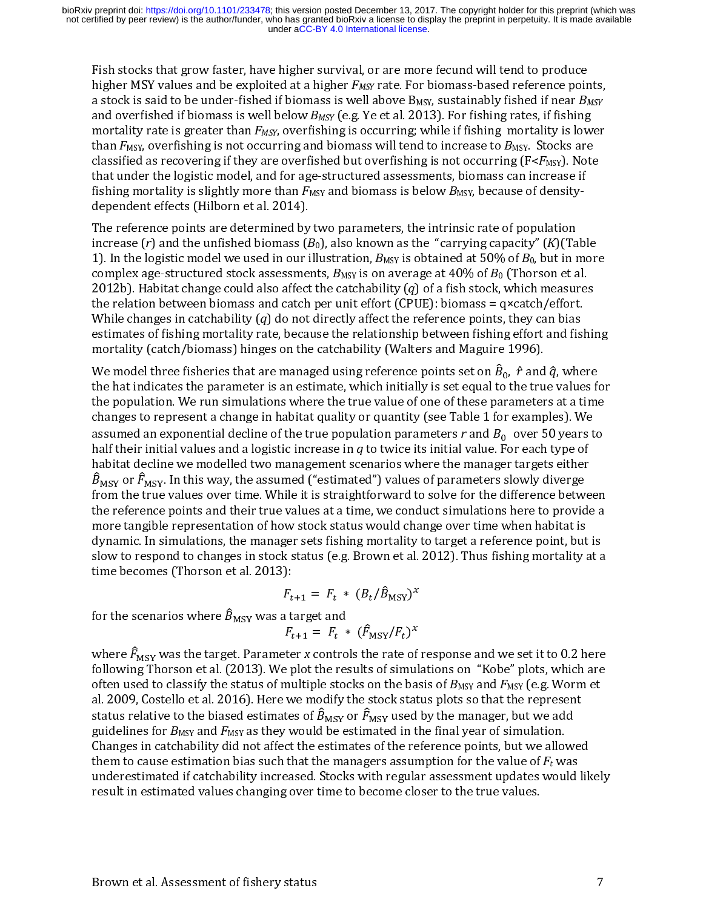higher MSY values and be exploited at a higher  $F_{MSY}$  rate. For biomass-based reference poir<br>a stock is said to be under-fished if biomass is well above B<sub>MSY</sub>, sustainably fished if near  $B_h$ <br>and overfished if biomass i inguit has a discuss and occupiontal at a mighter  $n_{NN}$  rate. For biomials based referred points,<br>and overfished if biomass is well below  $B_{MSY}$  eig. Ye et al. 2013). For fishing rates, if fishing<br>mortality rate is grea a stock is said to et under-fished if biomass is well below  $B_{MST}$ , each above  $B_{MST}$ , assainably issict in fitshing and overfished if biomass is well below  $B_{MST}$  (e.g. Ye et al. 2013). For fishing mortality is lower and overfished in our absolutions is well be it fishing in ortality rates, in the mortality rate is greater than  $F_{MSN}$ , overfishing is occurring; while if fishing mortality is low than  $F_{MSY}$ , overfishing is not occurr

mortanty rate is greater than *m<sub>MSY</sub>*, overfishing is not occurring and biomass will tend to increase to *B<sub>MSY</sub>*. Stocks are classified as recovering if they are overfished but overfishing is not occurring (F<*F<sub>MSY</sub>*). classified as recovering if they are overfished but overfishing is not course, when the classified as recovering if they are overfished but overfishing is not occurring  $[Fe\text{M3Y}]$ . Notes are that under the logistic model classified as recovering in they are over insing to the distinguist find that under the logistic molel, and for a<br>ge-structured assessments, biomass can increase if fishing mortality is slightly more than  $F_{\text{M3Y}}$  and fishing mortality is slightly more than  $F_{\text{MSY}}$  and biomass is below  $B_{\text{MSY}}$ , because of density-<br>dependent effects (Hilborn et al. 2014).<br>The reference points are determined by two parameters, the intrinsic rate of fishing mortality is slightly more than FMSY and biomass is below  $D_{MST}$ , because of density<br>dependent effects (Hilborn et al. 2014).<br>The reference points are determined by two parameters, the intrinsic rate of populatio The reference points are determined by<br>increase ( $r$ ) and the unfished biomass ( $l$ <br>1). In the logistic model we used in our i<br>complex age-structured stock assessme<br>2012b). Habitat change could also affect<br>the relation be increase (*r*) and the unfished biomass (*B*<sub>0</sub>), also known as the "carrying capacity" (*K*)(Ta<br>1). In the logistic model we used in our illustration, *B*<sub>MSY</sub> is obtained at 50% of *B*<sub>0</sub>, but in 1<br>2012b). Habitat chang increase (r) and the unished biomass (po<sub>ma</sub>), and solution, Biomass (r) in the logistic model we used in our illustration, B<sub>MSY</sub> is obtained at 50% of B<sub>0</sub>, but in mor<br>complex age-structured stock assessments, B<sub>MSY</sub> is 1). In the logistic model we used in our interaction,  $B_{\text{MST}}$  is obtained at 50% of  $B_0$  (Thorson et al. 2012b). Habitat change could also affect the catchability (*q*) of a fish stock, which measures the relation bet

complex age-structure stock assessments,  $p_{MN}$  is on average at  $400$  ( $101$  and  $100$ ) ( $101$  and  $100$ ) ( $100$ ) ( $1000$ ) ( $1000$ )) ( $1000$ )) ( $10000$ )) ( $100000$ )) ( $1000000$ )) ( $100000000$ ) ( $10000000000$ ) ( $100000000$ 2012b). Habitat change could also ance the catalability ( $q$ ) or a fish stock, which measures in catchability ( $q$ ) do not directly affect the reference points, they can bias estimates of fishing mortality ( $q$ ) do not di While changes in catchability (*q*) do not directly affect the reference points, they can bias<br>estimates of fishing mortality rate, because the relationship between fishing effort and fisl<br>mortality (catch/biomass) hinges while changes in catual dington between the enterchability and the method of fishing mortality rate, because the relationship between fishing effort and fisim mortality (catch/biomass) hinges on the catchability (Walters mortality (catch/biomass) hinges on the catchability (Walters and Maguire 1996).<br>We model three fisheries that are managed using reference points set on  $\hat{B}_0$ ,  $\hat{r}$  and  $\hat{q}$ , where<br>the hat indicates the parameter mortally (catta) summary magnetic internations, (cannot may necessarily the model three fisheries that are managed using reference points set on  $\hat{B}_0$ ,  $\hat{r}$  and the hat indicates the parameter is an estimate, which We model three fisheres that are managed using reference points set on  $B_0$ ,  $r$  and  $q$ , where<br>the hat indicates the parameter is an estimate, which initially is set equal to the true values fo<br>the population. We run si the population. We run simulations where the true value of one of these parameters at a time<br>changes to represent a change in habitat quality or quantity (see Table 1 for examples). We<br>assumed an exponential decline of th changes to represent a change in habitat quality or quantity (see Table 1 for examples). We assumed an exponential decline of the true population parameters r and  $B_0$  over 50 years to half their initial values and a log assumed an exponential decline of the true population parameters r and  $B_0$  over 50 years thalf their initial values and a logistic increase in q to twice its initial value. For each type of habitat decline we modelled t assumed an exponential values and a logistic increase in q to twice its initial value. For each type of habitat decline we modelled two management scenarios where the manager targets either  $\hat{B}_{\text{MSY}}$  or  $\hat{F}_{\text{MSY}}$ . habitat decline we modelled two management scenarios where the manager targets either  $\hat{B}_{\text{MSY}}$  or  $\hat{F}_{\text{MSY}}$ . In this way, the assumed ("estimated") values of parameters slowly diverge from the true values over ti  $\hat{B}_{\text{MSY}}$  or  $\hat{F}_{\text{MSY}}$ . In this way, the assumed ("estimated") values of parameters slowly diverge<br>from the true values over time. While it is straightforward to solve for the difference betwe<br>the reference points  $^{\rm 5}_{\rm MSY}$  OF  $^{\rm 7}_{\rm M}$ sy or  $P_1$ <br>m the t<br>refere<br>re tang<br>namic.<br>w to re<br>le beco<br>the sce<br>the sce<br>ere  $\hat{F}_{\rm M}$ <br>owing .<br>
Solve for the difference betw<br>
ce points and their true values at a time, we conduct simulations here to provid<br>
ble representation of how stock status would change over time when habitat is<br>
1 simulations, the manager the reference points and their true values at a time, we conduct simulations here to provide a<br>more tangible representation of how stock status would change over time when habitat is<br>dynamic. In simulations, the manager s

$$
F_{t+1} = F_t * (B_t/\hat{B}_{\text{MSY}})^x
$$

$$
F_{t+1} = F_t \cdot (\hat{F}_{\text{MSY}}/F_t)^x
$$

more tangible representation of how stock status would change over time when habitat is<br>dynamic. In simulations, the manager sets fishing mortality to target a reference point, but is<br>slow to respond to changes in stock s dynamic. In simulations, the manager sets fishing mortality to target a reference point, but<br>slow to respond to changes in stock status (e.g. Brown et al. 2012). Thus fishing mortality a<br>time becomes (Thorson et al. 2013) slow to respond to changes in stock status (e.g. Brown et al. 2012). Thus fishing mortality at a<br>time becomes (Thorson et al. 2013):<br> $F_{t+1} = F_t * (B_t/\hat{B}_{\text{MSY}})^x$ <br>for the scenarios where  $\hat{B}_{\text{MSY}}$  was a target and<br> $F_{t$ slow to response in the second of the scenarios where  $\hat{B}_{\text{MSY}}$  was a target and  $F_{t+1} = F_t * (B_t/\hat{B}_{\text{MSY}})^x$ <br>for the scenarios where  $\hat{B}_{\text{MSY}}$  was a target and  $F_{t+1} = F_t * (\hat{F}_{\text{MSY}}/F_t)^x$ <br>where  $\hat{F}_{\text{MSY}}$  was for the scenarios where  $\hat{B}_{\text{MSY}}$  was a t<br>  $F_t$ <br>
where  $\hat{F}_{\text{MSY}}$  was the target. Paramete<br>
following Thorson et al. (2013). We p<br>
often used to classify the status of m<br>
al. 2009, Costello et al. 2016). Here w<br>
st  $(F_t)^x$ <br> $(F_t)^x$  ie of imulae based limit<br>is statused limit<br>is sum<br>gulae close for the scenarios where  $B$ <br>where  $\hat{F}_{\text{MSY}}$  was the targe<br>following Thorson et al. (2<br>often used to classify the s<br>al. 2009, Costello et al. 20<br>status relative to the biase<br>guidelines for  $B_{\text{MSY}}$  and  $F_{\text{M}}$ <br>Chan F<sub>t+1</sub> = F<sub>t</sub> \*<br>Parameter x contro<br>113). We plot the restatus of multiple stood<br>6). Here we modify the status of  $\hat{B}_{\text{MSY}}$  (<br>as they would be e<br>not affect the estime<br>ias such that the mality increased. Stock<br>hanging o  $\frac{\text{SY}}{r}$  rate of<br>of simul<br>n the base ock stat<br> $\frac{\text{SY}}{\text{SY}}$  used<br>ited in the rest assum<br>h regula<br>ome clo where  $F_1$ <br>followin<br>often us<br>al. 2009,<br>status re<br>guidelin<br>Changes<br>them to<br>underes<br>result in following Thorson et al. (2013). We plot the results of simulations on "Kobe" plots, which are When the taget. *T* attaineer *x* controls the rate of response and we set it to 0.2 here of response and we set it to 0.2 here Thorson et al. (2013). We plot the results of simulations on "Kobe" plots, which are Costello often used to classify the status of multiple stocks on the basis of  $B_{\text{MSY}}$  and  $F_{\text{MSY}}$  (e.g. Worm et al. 2009, Costello et al. 2016). Here we modify the stock status plots so that the represent status relative to often used to classify the status of multiple stocks on the basis of *D<sub>MSY</sub>* and *TMSY* (e.g. Worm et al. 2009, Costello et al. 2016). Here we modify the stock status plots so that the represent status relative to the bi status relative to the biased estimates of  $\hat{B}_{\text{MSY}}$  or  $\hat{F}_{\text{MSY}}$  used by the manager, but we add guidelines for  $B_{\text{MSY}}$  and  $F_{\text{MSY}}$  as they would be estimated in the final year of simulation.<br>Changes in cat status relative to the biased estimates of  $B$ <br>guidelines for  $B_{\text{MSY}}$  and  $F_{\text{MSY}}$  as they would<br>Changes in catchability did not affect the e<br>them to cause estimation bias such that the<br>underestimated if catchability ho octime sy or  $F_1$ <br>e estin<br>imates<br>manag<br>ocks wi<br>e to be status relative to the biased estimates of  $\widehat{B}_{\text{MSY}}$  or  $\widehat{F}_{\text{MSY}}$  used by the manager, but we add and the final year of simulation.<br>of the reference points, but we allows<br>rs assumption for the value of  $F_t$  was<br>h regular assessment updates would<br>come closer to the true values. guidelines for *D<sub>MSY</sub>* and *P<sub>MSY</sub>* as diey would be estimated in the final year of simulation.<br>Changes in catchability did not affect the estimates of the reference points, but we allow<br>them to cause estimation bias such them to cause estimation bias such that the managers assumption for the value of  $F_t$  was underestimated if catchability increased. Stocks with regular assessment updates would like result in estimated values changing ove them to cause estimation bias such that the managers assumption for the value of F<sub>t</sub> was<br>underestimated if catchability increased. Stocks with regular assessment updates would<br>result in estimated values changing over time result in estimated values changing over time to become closer to the true values.<br>Brown et al. Assessment of fishery status and the stock with regular assessment of fishery status and the stock of  $\frac{1}{2}$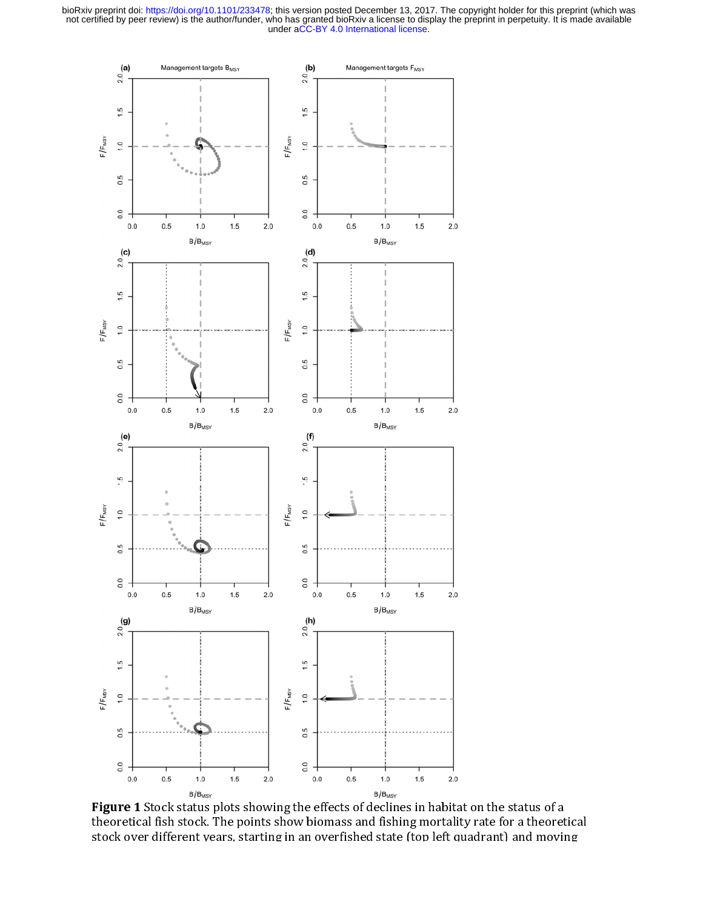

 $B/M_{\text{HSSY}}$ <br>**Figure 1** Stock status plots showing the effects of declines in habitat on the status of a<br>theoretical fish stock. The points show biomass and fishing mortality rate for a theoretical theoretical fish stock. The points show biomass and fishing mortanty rate for a theoretical<br>theole case different cosmo theories in an executive destate (her left and hereby and massive stock over different years, starting in an overfished state (top left quadrant) and moving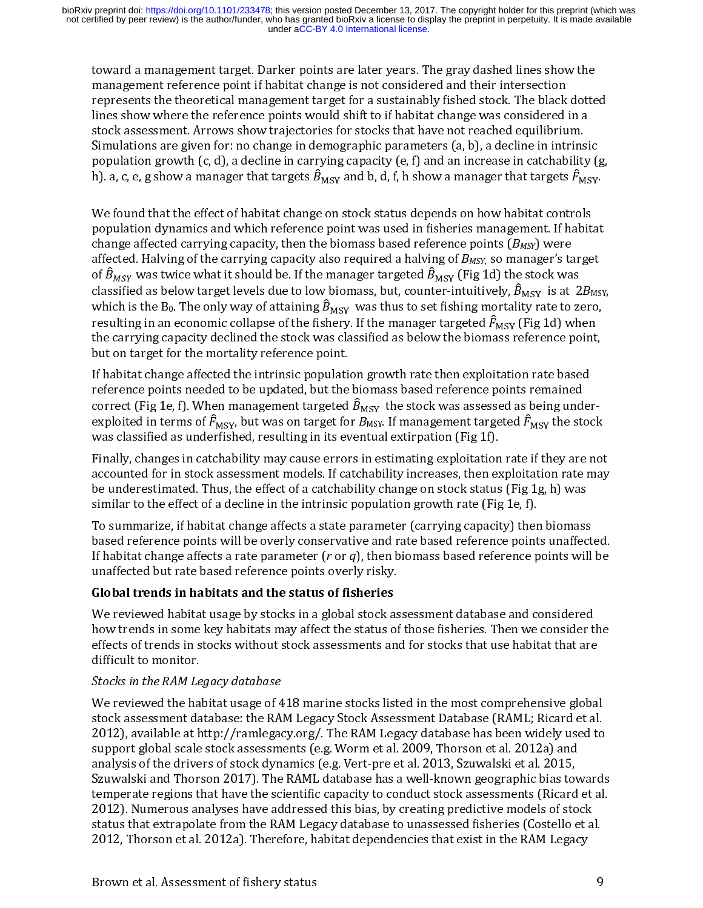management reference point if habitat change is not considered and their intersection<br>represents the theoretical management target for a sustainably fished stock. The black dotte<br>lines show where the reference points woul represents the theoretical management target for a sustainably fished stock. The black<br>lines show where the reference points would shift to if habitat change was considered<br>stock assessment. Arrows show trajectories for s h). a, c, e, g show a manager that targets  $\hat{B}_{MSV}$  and b, d, f, h show a manager that targets  $\hat{F}_{MSV}$ .

lines show where the reference points would shift to if habitat change was considered in a<br>stock assessment. Arrows show trajectories for stocks that have not reached equilibrium.<br>Simulations are given for: no change in d stock assessment. Arrows show trajectories for stocks that have not reached equilibrium.<br>Simulations are given for: no change in demographic parameters (a, b), a decline in intrinsi<br>population growth (c, d), a decline in Simulations are given for: no change in demographic parameters (a, b), a decline in intrins<br>population growth (c, d), a decline in carrying capacity (e, f) and an increase in catchability<br>h). a, c, e, g show a manager tha population growth (c, d), a decline in carrying capacity (e, f) and an increase in catchability (i, h). a, c, e, g show a manager that targets  $\hat{B}_{\text{MSY}}$  and b, d, f, h show a manager that targets  $\hat{F}_{\text{MSY}}$ . We fou b). a, c, e, g show a manager that targets  $\hat{B}_{\text{MSY}}$  and b, d, f, h show a manager that targets  $\hat{F}_{\text{MSY}}$ .<br>We found that the effect of habitat change on stock status depends on how habitat controls<br>population dyna in). a, c, e, g show a manager that targets  $B$ <br>We found that the effect of habitat change<br>population dynamics and which reference<br>change affected carrying capacity, then the<br>affected. Halving of the carrying capacity  $i$  $_{\rm SY}$  and b, d, f, h show a manager that targets  $F_1$ <br>on stock status depends on how habitat contro<br>point was used in fisheries management. If hal<br>biomass based reference points  $(B_{MSY})$  were<br>so required a halving of  $B$ si<br>sitat<br>get<br>3<sub>MS1</sub><br>ro,<br>nt, population dynamics and which reference point was used in fisheries management. If habit<br>change affected carrying capacity, then the biomass based reference points (*B<sub>MSY</sub>*) were<br>affected. Halving of the carrying capacit  $\hat{P}_{\text{MST}}$  and a ffected carrying capacity, then the biomass based reference points ( $\hat{B}_{\text{MST}}$ ) were affected. Halving of the carrying capacity also required a halving of  $\hat{B}_{\text{MST}}$  so manager's target of  $\hat{B}_{$ change areceted carrying capacity, unit in the biomass based reference points (*b<sub>MSY</sub>* were what it should be. If the manager targeted  $\hat{B}_{MSY}$  (Fig 1d) the stock was classified as below target levels due to low biomas ance and the carrying capacity also required a halving of DMSY, so manager's data-<br>
classified as below target levels due to low biomasse targeted  $\hat{B}_{\text{MSY}}$  (Fig 1d) the stock was<br>
classified as below target levels du of *B*<br>clas<br>whi<br>resu<br>the<br>refe<br>corr<br>expl<br>was<br>Fina gified as below taxaat levels due to lew hiemage but counter  $V$  was twice what it should be. If the manager targeted *B*<br>ied as below target levels due to low biomass, but, count<br>is the  $B_0$ . The only way of attaining  $\hat{B}_{\text{MSY}}$  was thus to set<br>ng in an economic collapse of th Fig 1d) and the state of the stock was dishing mortality rate to zargeted  $\hat{F}_{\text{MSY}}$  (Fig 1d) wh<br>the biomass reference po<br>nen exploitation rate base<br>eference points remained<br>vas assessed as being und<br>ment targeted  $\hat{$ which is the B<sub>0</sub>. The only way of attaining  $\widehat{B}_{\text{MSY}}$  was thus to set fishing mortality rate to zero, ....<br>ierv. If the manager targeted *Î* the carrying capacity declined the stock was classified as below the biomass reference point,

classified as below target levels due to low biomass, but, counter-intuitively, *B*<br>which is the B<sub>0</sub>. The only way of attaining  $\hat{B}_{\text{MSY}}$  was thus to set fishing mortali<br>resulting in an economic collapse of the fishe sy is at 2BMSY,<br>
i rate to zero,<br>
ig 1d) when<br>
erence point,<br>
rate based<br>
remained<br>
being under-<br>
is the stock<br>
if they are not<br>
ation rate may<br>
1g h) was which is the B<sub>0</sub>. The only way of attaining B<br>resulting in an economic collapse of the fish<br>the carrying capacity declined the stock wa<br>but on target for the mortality reference po<br>If habitat change affected the intrinsi Sy was thus to set fishing mortanty rate to zero,<br>ry. If the manager targeted  $\hat{F}_{\text{MSY}}$  (Fig 1d) when<br>classified as below the biomass reference point,<br>nt.<br>tion growth rate then exploitation rate based<br>he biomass based resulting in an economic collapse of the ishery. If the manager targeted  $F$ <br>the carrying capacity declined the stock was classified as below the bioma<br>but on target for the mortality reference point.<br>If habitat change af s reference point<br>s reference point<br>tion rate based<br>d as being under-<br>ted  $\hat{F}_{\text{MSY}}$  the stock<br>rate if they are no<br>ploitation rate ma<br>(Fig 1g, h) was<br>1e, f). but on target for the mortality reference point.<br>If habitat change affected the intrinsic population growth rate then exploitation rate based<br>reference points needed to be updated, but the biomass based reference points r If habitat change affected the intrinsic population<br>reference points needed to be updated, but the<br>correct (Fig 1e, f). When management targeted<br>exploited in terms of  $\hat{F}_{\text{MSY}}$ , but was on target fo<br>was classified as reference points needed to be updated, but the biomass based reference points remained<br>correct (Fig 1e, f). When management targeted  $\hat{B}_{\text{MSY}}$  the stock was assessed as being under<br>exploited in terms of  $\hat{F}_{\text{MSY}}$ ,  $\hat{\mathbf{F}}_{\text{new}}$  but was on target for  $R_{\text{new}}$  If management targeted  $\hat{R}$ was classified as underfished, resulting in its eventual extirpation (Fig 1f).

correct (Fig 1e, f). When management targeted  $\hat{B}_{\text{MSY}}$  the stock was assessed as being und<br>exploited in terms of  $\hat{F}_{\text{MSY}}$ , but was on target for  $B_{\text{MSY}}$ . If management targeted  $\hat{F}_{\text{MSY}}$  the st<br>was classi correct (Fig 1e, r). When management targeted *B*<br>exploited in terms of  $\hat{F}_{\text{MSY}}$ , but was on target for *i*<br>was classified as underfished, resulting in its eve:<br>Finally, changes in catchability may cause errors<br>accou Sy the stock was assessed as being under<br>
MSY. If management targeted  $\hat{F}_{\text{MSY}}$  the stock<br>
tual extirpation (Fig 1f).<br>
1 estimating exploitation rate if they are no<br>
ability increases, then exploitation rate may<br>
chan exploited in terms of  $F_1$ <br>was classified as under<br>Finally, changes in catc<br>accounted for in stock<br>be underestimated. Th<br>similar to the effect of :<br>To summarize, if habit.<br>hased reference points<br>If habitat change affect<br>u Sy, but was on target for *BMSY*. If management targeted  $P_1$ <br>ished, resulting in its eventual extirpation (Fig 1f).<br>ability may cause errors in estimating exploitation rate<br>ssessment models. If catchability increases, t they are not<br>tion rate may<br>g, h) was<br>n biomass<br>ts unaffected<br>points will be<br>onsidered Finally, changes in catchability may cause errors in estimating exploitation accounted for in stock assessment models. If catchability increases, then extigation accounted for in stock assessment models. If catchability c

accounted for in stock assessment models. If catchability increases, then exploitation rate may<br>be underestimated. Thus, the effect of a catchability change on stock status (Fig 1g, h) was<br>similar to the effect of a declin

# Global trends in habitats and the status of fisheries

be underestimated. Thus, the effect of a catchability change on stock status (Fig 1g, h) was similar to the effect of a decline in the intrinsic population growth rate (Fig 1e, f).<br>To summarize, if habitat change affects a similar to the effect of a decline in the intrinsic population growth rate (Fig 1e, f).<br>To summarize, if habitat change affects a state parameter (carrying capacity) then biomass<br>based reference points will be overly cons For summarize, if habitat change affects a state parameter (carrying capacity) then<br>based reference points will be overly conservative and rate based reference point<br>If habitat change affects a rate parameter  $(r$  or  $q$ ), based reference points will be overly conservative and rate based reference points unaffect<br>If habitat change affects a rate parameter (r or q), then biomass based reference points will<br>unaffected but rate based reference If habitat change affects a rate parameter  $(r \text{ or } q)$ , then biomass based reference points will be unaffected but rate based reference points overly risky.<br> **Global trends in habitats and the status of fisheries**<br>
We revi

# Stocks in the RAM Legacy database

If habitat change affects a rate parameter (r or q), then biomass based reference points will be<br>unaffected but rate based reference points overly risky.<br>**Global trends in habitats and the status of fisheries**<br>We reviewed unaffected but rate but referred referred but **Global trends in habitats and the status of fisheries**<br>We reviewed habitat usage by stocks in a global stock as<br>how trends in some key habitats may affect the status of<br>effect how trends in some key habitats may affect the status of those fisheries. Then we consider t<br>effects of trends in stocks without stock assessments and for stocks that use habitat that are<br>difficult to monitor.<br>Stocks *in t* effects of trends in stocks without stock assessments and for stocks that use habitat that are<br>difficult to monitor.<br>Stocks in the RAM Legacy database<br>We reviewed the habitat usage of 418 marine stocks listed in the most c difficult to monitor.<br>
Stocks in the RAM Legacy database<br>
We reviewed the habitat usage of 418 marine stocks listed in the most comprehensive globa<br>
stock assessment database: the RAM Legacy Stock Assessment Database (RAML Stocks in the RAM Le<br>We reviewed the ha<br>stock assessment da<br>2012), available at h<br>support global scale<br>analysis of the drive<br>Szuwalski and Thor:<br>temperate regions ti<br>2012). Numerous ar<br>status that extrapola<br>2012, Thorson e stock assessment database: the RAM Legacy Stock Assessment Database (RAML; Ricard et al. 2012), available at http://ramlegacy.org/. The RAM Legacy database has been widely used to support global scale stock assessments (e. 2012), available at http://ramlegacy.org/. The RAM Legacy database has been widely used to support global scale stock assessments (e.g. Worm et al. 2009, Thorson et al. 2012a) and analysis of the drivers of stock dynamics support global scale stock assessments (e.g. Worm et al. 2009, Thorson et al. 2012a) and<br>analysis of the drivers of stock dynamics (e.g. Vert-preet al. 2013, Szuwalski et al. 2015,<br>Szuwalski and Thorson 2017). The RAML dat analysis of the drivers of stock dynamics (e.g. Vert-pre et al. 2013, Szuwalski et al. 2015, Szuwalski and Thorson 2017). The RAML database has a well-known geographic bias tov temperate regions that have the scientific ca Szuwalski and Thorson 2017). The RAML database has a well-known geographic bias to<br>temperate regions that have the scientific capacity to conduct stock assessments (Ricard<br>2012). Numerous analyses have addressed this bias, temperate regions that have the scientific capacity to conduct stock assessments (Ricard et al.<br>2012). Numerous analyses have addressed this bias, by creating predictive models of stock<br>status that extrapolate from the RAM 2012). Numerous analyses have addressed this bias, by creating predictive models of stock<br>status that extrapolate from the RAM Legacy database to unassessed fisheries (Costello et al.<br>2012, Thorson et al. 2012a). Therefore status that extrapolate from the RAM Legacy database to unassessed fisheries (Costello et a<br>2012, Thorson et al. 2012a). Therefore, habitat dependencies that exist in the RAM Legacy<br>Brown et al. Assessment of fishery statu status that exist in the RAM Legacy<br>Brown et al. Assessment of fishery status<br>grown et al. Assessment of fishery status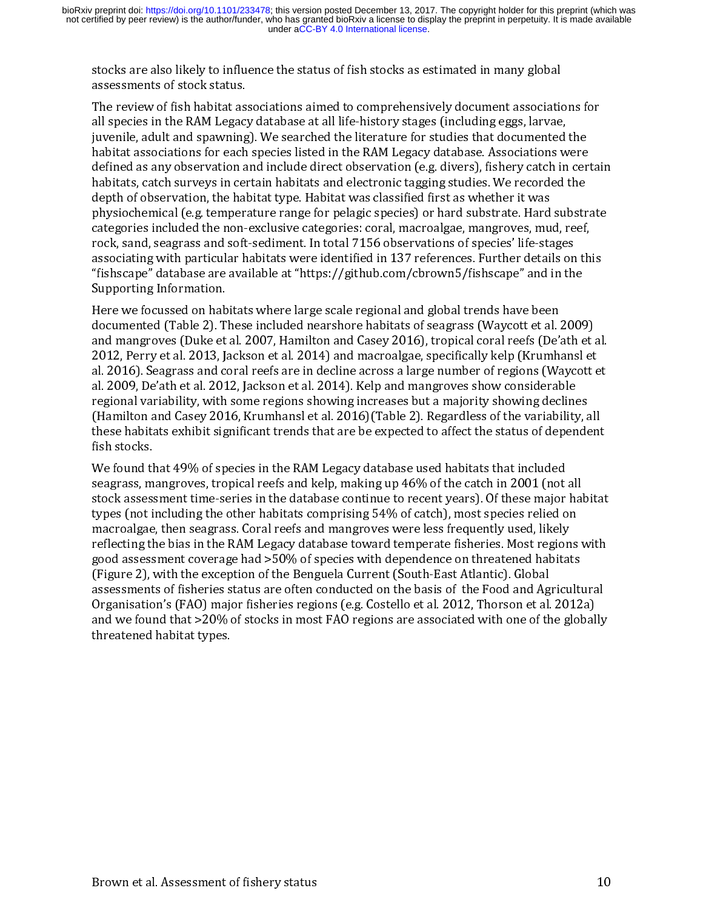assessments of stock status.<br>The review of fish habitat associations aimed to comprehensively document associatiall species in the RAM Legacy database at all life-history stages (including eggs, larvae ill wenile, adult an The review of fish habitat as<br>all species in the RAM Legacy<br>juvenile, adult and spawning<br>habitat associations for each<br>defined as any observation a<br>habitats, catch surveys in cer<br>depth of observation, the hal<br>physiochemica all species in the RAM Legacy database at all life-history stages (including eggs, larvae,<br>juvenile, adult and spawning). We searched the literature for studies that documented the<br>habitat associations for each species lis juvenile, adult and spawning). We searched the literature for studies that documented habitat associations for each species listed in the RAM Legacy database. Associations we defined as any observation and include direct o habitat associations for each species listed in the RAM Legacy database. Associations were<br>defined as any observation and include direct observation (e.g. divers), fishery catch in cer<br>habitats, catch surveys in certain ha defined as any observation and include direct observation (e.g. divers), fishery catch in cer<br>habitats, catch surveys in certain habitats and electronic tagging studies. We recorded the<br>depth of observation, the habitat ty habitats, catch surveys in certain habitats and electronic tagging studies. We recorded the<br>depth of observation, the habitat type. Habitat was classified first as whether it was<br>physiochemical (e.g. temperature range for depth of observation, the habitat type. Habitat was classified first as whether it was<br>physiochemical (e.g. temperature range for pelagic species) or hard substrate. Hard substr<br>categories included the non-exclusive catego

physiochemical (e.g. temperature range for pelagic species) or hard substrate. Hard categories included the non-exclusive categories: coral, macroalgae, mangroves, mu<br>rock, sand, seagrass and soft-sediment. In total 7156 o retegories included the non-exclusive categories: coral, macroalgae, mangroves, mud, reef, rock, sand, seagrass and soft-sediment. In total 7156 observations of species' life-stages associating with particular habitats wer rock, sand, seagrass and soft-sediment. In total 7156 observations of species' life-stages<br>associating with particular habitats were identified in 137 references. Further details on th<br>"fishscape" database are available at associating with particular habitats were identified in 137 references. Further details on<br>"fishscape" database are available at "https://github.com/cbrown5/fishscape" and in th<br>Supporting Information.<br>Here we focussed on "fishscape" database are available at "https://github.com/cbrown5/fishscape" and in the<br>Supporting Information.<br>Here we focussed on habitats where large scale regional and global trends have been<br>documented (Table 2). Thes Supporting Information.<br>
Here we focussed on habitats where large scale regional and global trends have been<br>
documented (Table 2). These included nearshore habitats of seagrass (Waycott et al. 2009<br>
and mangroves (Duke et Here we focussed on hab<br>documented (Table 2). T<br>and mangroves (Duke et<br>2012, Perry et al. 2013, J<sub>i</sub><br>al. 2016). Seagrass and cal. 2019, De'ath et al. 201<br>regional variability, with<br>(Hamilton and Casey 201<br>these habitats ex documented (Table 2). These included nearshore habitats of seagrass (Waycott et al. 2nd mangroves (Duke et al. 2007, Hamilton and Casey 2016), tropical coral reefs (De':<br>2012, Perry et al. 2013, Jackson et al. 2014) and ma and mangroves (Duke et al. 2007, Hamilton and Casey 2016), tropical coral reefs (De'ath et 2012, Perry et al. 2013, Jackson et al. 2014) and macroalgae, specifically kelp (Krumhansl et al. 2016). Seagrass and coral reefs a 2012, Perry et al. 2013, Jackson et al. 2014) and macroalgae, specifically kelp (Krumhanslet al. 2016). Seagrass and coral reefs are in decline across a large number of regions (Waycott et al. 2016). Seagrass and coral ree

al. 2016). Seagrass and coral reefs are in decline across a large number of regions (Waycott e<br>al. 2009, De'ath et al. 2012, Jackson et al. 2014). Kelp and mangroves show considerable<br>regional variability, with some region al. 2009, De'ath et al. 2012, Jackson et al. 2014). Kelp and mangroves show considerable<br>regional variability, with some regions showing increases but a majority showing declines<br>(Hamilton and Casey 2016, Krumhansl et al. regional variability, with some regions showing increases but a majority showing decline<br>(Hamilton and Casey 2016, Krumhansl et al. 2016)(Table 2). Regardless of the variability<br>these habitats exhibit significant trends th (Hamilton and Casey 2016, Krumhansl et al. 2016)(Table 2). Regardless of the variability, at<br>hese habitats exhibit significant trends that are be expected to affect the status of depende<br>fish stocks.<br>We found that 49% of s these habitats exhibit significant trends that are be expected to affect the status of dependent<br>fish stocks.<br>We found that 49% of species in the RAM Legacy database used habitats that included<br>seagrass, mangroves, tropica fish stocks.<br>We found that 49% of species in the RAM Legacy database used habitats that included<br>seagrass, mangroves, tropical reefs and kelp, making up 46% of the catch in 2001 (not all<br>stock assessment time-series in the We found tl<br>seagrass, m<br>stock asses:<br>types (not i<br>macroalgae<br>reflecting tl<br>good assess<br>(Figure 2), v<br>assessment<br>Organisatio<br>and we four seagrass, mangroves, tropical reefs and kelp, making up 46% of the catch in 2001 (not stock assessment time-series in the database continue to recent years). Of these major types (not including the other habitats comprisin stock assessment time-series in the database continue to recent years). Of these major haltypes (not including the other habitats comprising 54% of catch), most species relied on macroalgae, then seagrass. Coral reefs and types (not including the other habitats comprising 54% of catch), most species relied on<br>macroalgae, then seagrass. Coral reefs and mangroves were less frequently used, likely<br>reflecting the bias in the RAM Legacy database fractional macroalgae, then seagrass. Coral reefs and mangroves were less frequently used, likely reflecting the bias in the RAM Legacy database toward temperate fisheries. Most regions good assessment coverage had >50% of reflecting the bias in the RAM Legacy database toward temperate fisheries. Most region good assessment coverage had >50% of species with dependence on threatened habitat (Figure 2), with the exception of the Benguela Curre good assessment coverage had >50% of species with dependence on threatened habitats<br>(Figure 2), with the exception of the Benguela Current (South-East Atlantic). Global<br>assessments of fisheries status are often conducted o (Figure 2), with the exception of the Benguela Current (South-East Atlantic). Global<br>assessments of fisheries status are often conducted on the basis of the Food and Agricult<br>Organisation's (FAO) major fisheries regions (e assessments of fisheries status are often conducted on the basis of the Food and Ag<br>Organisation's (FAO) major fisheries regions (e.g. Costello et al. 2012, Thorson et al.<br>and we found that >20% of stocks in most FAO regio Organisation's (FAO) major fisheries regions (e.g. Costello et al. 2012, Thorson et al. 2012a)<br>and we found that >20% of stocks in most FAO regions are associated with one of the globally<br>threatened habitat types. organisation's (FAO) major fisheries regions to the control et al. 2012, Thomas (FAO) regions are associated with one of the global threatened habitat types. and we found that  $\frac{20}{2}$  and the stock in most FAO regions are associated with one of the globally stocks in most FAO regions of the global  $\frac{20}{2}$ threatened habitat types.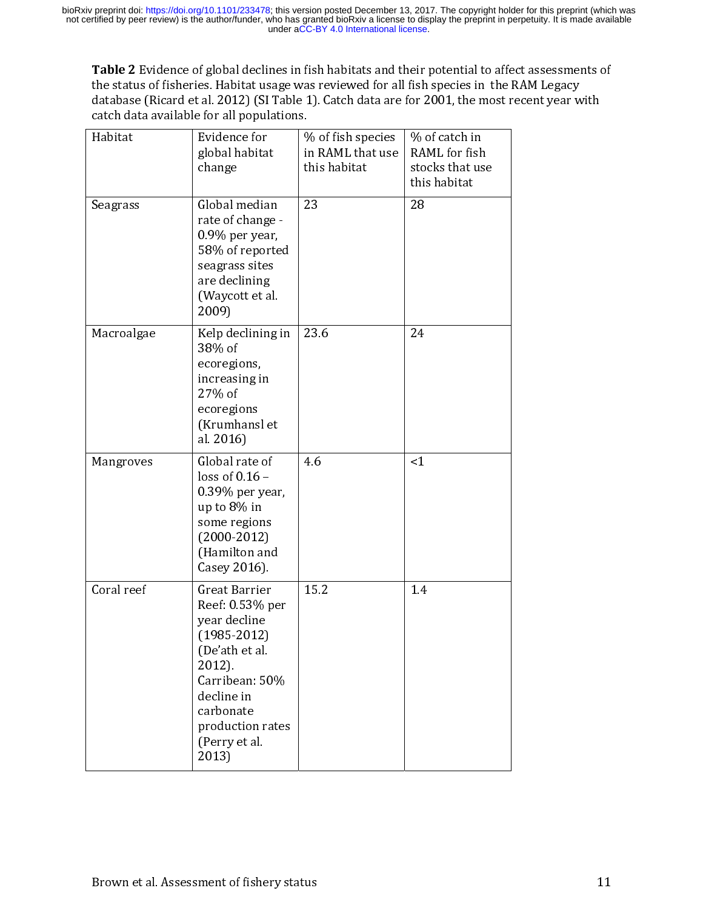| <b>Fabic 2</b> Evidence of giobal decimes in fish habitats and their potential to ancet assessments of | the status of fisheries. Habitat usage was reviewed for all fish species in the RAM Legacy<br>database (Ricard et al. 2012) (SI Table 1). Catch data are for 2001, the most recent year with<br>catch data available for all populations. |                                                       |                                                                   |    |  |  |  |
|--------------------------------------------------------------------------------------------------------|-------------------------------------------------------------------------------------------------------------------------------------------------------------------------------------------------------------------------------------------|-------------------------------------------------------|-------------------------------------------------------------------|----|--|--|--|
| Habitat                                                                                                | Evidence for<br>global habitat<br>change                                                                                                                                                                                                  | % of fish species<br>in RAML that use<br>this habitat | % of catch in<br>RAML for fish<br>stocks that use<br>this habitat |    |  |  |  |
| Seagrass                                                                                               | Global median<br>rate of change -<br>0.9% per year,<br>58% of reported<br>seagrass sites<br>are declining<br>(Waycott et al.<br>2009)                                                                                                     | 23                                                    | 28                                                                |    |  |  |  |
| Macroalgae                                                                                             | Kelp declining in<br>38% of<br>ecoregions,<br>increasing in<br>27% of<br>ecoregions<br>(Krumhansl et<br>al. 2016)                                                                                                                         | 236                                                   | 24                                                                |    |  |  |  |
| Mangroves                                                                                              | Global rate of<br>loss of $0.16 -$<br>0 39% per year,<br>up to 8% in<br>some regions<br>$(2000 - 2012)$<br>(Hamilton and<br>Casey 2016).                                                                                                  | 4.6                                                   | $\leq 1$                                                          |    |  |  |  |
| Coral reef                                                                                             | Great Barrier<br>Reef 0.53% per<br>year decline<br>$(1985 - 2012)$<br>(De'ath et al.<br>$2012$ )<br>Carribean: 50%<br>decline in<br>carbonate<br>production rates<br>(Perry et al.<br>2013)                                               | 15.2                                                  | 14                                                                |    |  |  |  |
|                                                                                                        |                                                                                                                                                                                                                                           |                                                       |                                                                   | 11 |  |  |  |
| Brown et al. Assessment of fishery status                                                              |                                                                                                                                                                                                                                           |                                                       |                                                                   |    |  |  |  |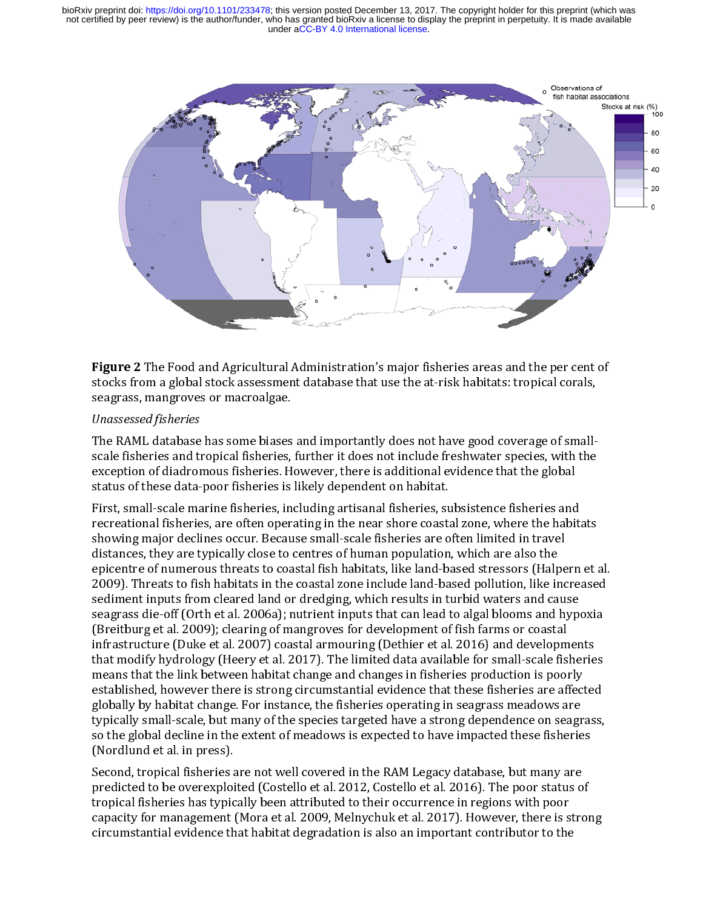

Figure 2 The Food and Agricultural Administration's major fisheries areas and the per cent of stocks from a global stock assessment database that use the at-risk habitats: tropical corals, seagrass, mangroves or macroalgae.

#### Unassessed fisheries

The RAML database has some biases and importantly does not have good coverage of small-<br>scale fisheries and tropical fisheries, further it does not include freshwater species, with the exception of diadromous fisheries. However, there is additional evidence that the global exception of diadromous fisheries. However, there is additional evidence that the global status of these data-poor fisheries is likely dependent on habitat.

First, small-scale marine fisheries, including artisanal fisheries, subsistence fisheries and showing major declines occur. Because small-scale fisheries are often limited in travel distances, they are typically close to centres of human population, which are also the epicentre of numerous threats to coastal fish habitats, like land-based stressors (Halpern et al. 2009). Threats to fish habitats in the coastal zone include land-based pollution, like increased sediment inputs from cleared land or dredging, which results in turbid waters and cause seagrass die-off (Orth et al. 2006a); nutrient inputs that can lead to algal blooms and hypoxia (Breitburg et al. 2009); clearing of mangroves for development of fish farms or coastal infrastructure (Duke et al. 2007) coastal armouring (Dethier et al. 2016) and developments that modify hydrology (Heery et al. 2017). The limited data available for small-scale fisheries means that the link between habitat change and changes in fisheries production is poorly established, however there is strong circumstantial evidence that these fisheries are affected globally by habitat change. For instance, the fisheries operating in seagrass meadows are typically small-scale, but many of the species targeted have a strong dependence on seagrass. typically small-scale, but many of the species targeted have a subing dependence on seagrass,<br>extiled algebra dealing in the entent of meadows is supported to have immediately these fisheries. so the global decline in the extent of meadows is expected to have impacted these fisheries (Nordlund et al. in press).

Second, tropical fisheries are not well covered in the RAM Legacy database, but many are<br>predicted to be overexploited (Costello et al. 2012, Costello et al. 2016). The poor status of tropical fisheries has typically been attributed to their occurrence in regions with poor capacity for management (Mora et al. 2009, Melnychuk et al. 2017). However, there is strong capacity for management (Mora et al. 2009, Melnychuk et al. 2017). However, there is strong circumstantial evidence that habitat degradation is also an important contributor to the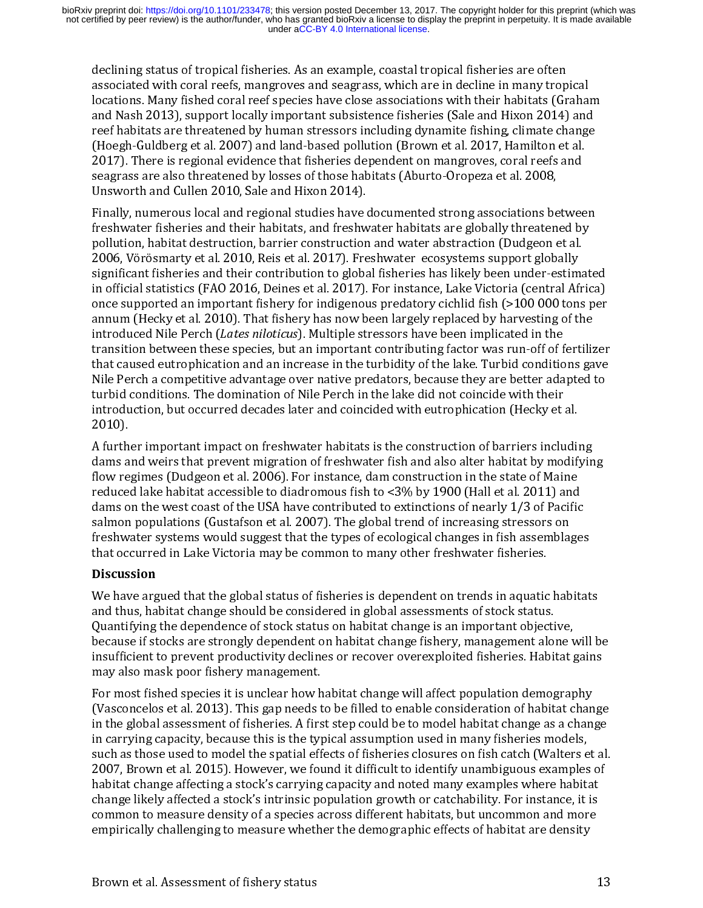associated with coral reefs, mangroves and seagrass, which are in decline in many tropications. Many fished coral reef species have close associations with their habitats (Grand Nash 2013), support locally important subsis locations. Many fished coral reef species have close associations with their habitats (Grahaund Nash 2013), support locally important subsistence fisheries (Sale and Hixon 2014) and reef habitats are threatened by human st

and Nash 2013), support locally important subsistence fisheries (Sale and Hixon 2014) and<br>reef habitats are threatened by human stressors including dynamite fishing, climate change<br>(Hoegh-Guldberg et al. 2007) and land-bas reef habitats are threatened by human stressors including dynamite fishing, climate change<br>(Hoegh-Guldberg et al. 2007) and land-based pollution (Brown et al. 2017, Hamilton et al.<br>2017). There is regional evidence that fi (Hoegh-Guldberg et al. 2007) and land-based pollution (Brown et al. 2017, Hamilton et al. 2017). There is regional evidence that fisheries dependent on mangroves, coral reefs and seagrass are also threatened by losses of t 2017). There is regional evidence that fisheries dependent on mangroves, coral reefs and<br>seagrass are also threatened by losses of those habitats (Aburto-Oropeza et al. 2008,<br>Unsworth and Cullen 2010, Sale and Hixon 2014). seagrass are also threatened by losses of those habitats (Aburto-Oropeza et al. 2008, Unsworth and Cullen 2010, Sale and Hixon 2014).<br>Finally, numerous local and regional studies have documented strong associations between Unsworth and Cullen 2010, Sale and Hixon 2014).<br>Finally, numerous local and regional studies have documented strong associations be<br>freshwater fisheries and their habitats, and freshwater habitats are globally threaten<br>pol Finally, numerous local and regional studies have of<br>reshwater fisheries and their habitats, and freshw<br>pollution, habitat destruction, barrier construction<br>2006, Vörösmarty et al. 2010, Reis et al. 2017). Fre<br>significant freshwater fisheries and their habitats, and freshwater habitats are globally threatened by<br>pollution, habitat destruction, barrier construction and water abstraction (Dudgeon et al.<br>2006, Vörösmarty et al. 2010, Reis et a pollution, habitat destruction, barrier construction and water abstraction (Dudgeon et al.<br>2006, Vörösmarty et al. 2010, Reis et al. 2017). Freshwater ecosystems support globally<br>significant fisheries and their contributio 2006, Vörösmarty et al. 2010, Reis et al. 2017). Freshwater ecosystems support globally<br>significant fisheries and their contribution to global fisheries has likely been under-estima<br>in official statistics (FAO 2016, Deines significant fisheries and their contribution to global fisheries has likely been under-estim<br>in official statistics (FAO 2016, Deines et al. 2017). For instance, Lake Victoria (central Af<br>once supported an important fisher in official statistics (FAO 2016, Deines et al. 2017). For instance, Lake Victoria (central Africa) once supported an important fishery for indigenous predatory cichlid fish (>100 000 tons per annum (Hecky et al. 2010). Th once supported an important fishery for indigenous predatory cichlid fish (>100 000 tons per<br>annum (Hecky et al. 2010). That fishery has now been largely replaced by harvesting of the<br>introduced Nile Perch (*Lates niloticu* annum (Hecky et al. 2010). That fishery has now been largely replaced by harvesting of the<br>introduced Nile Perch (*Lates niloticus*). Multiple stressors have been implicated in the<br>transition between these species, but an introduced Nile Perch (*Lates niloticus*). Multiple stressors have been implicated in the<br>transition between these species, but an important contributing factor was run-off of fertiliz<br>that caused eutrophication and an inc

Introduced The Ferri (Lates *motitaas*). Multiple stressors have been implicated in the transition between these species, but an improtant contributing factor was run-off of that caused eutrophication and an increase in th that caused eutrophication and an increase in the turbidity of the lake. Turbid conditions gave<br>Nile Perch a competitive advantage over native predators, because they are better adapted to<br>turbid conditions. The domination Nile Perch a competitive advantage over native predators, because they are better adapted to<br>turbid conditions. The domination of Nile Perch in the lake did not coincide with their<br>introduction, but occurred decades later turbid conditions. The domination of Nile Perch in the lake did not coincide with their<br>introduction, but occurred decades later and coincided with eutrophication (Hecky et al.<br>2010).<br>A further important impact on freshwat introduction, but occurred decades later and coincided with eutrophication (Hecky et.<br>2010).<br>A further important impact on freshwater habitats is the construction of barriers inclu<br>dams and weirs that prevent migration of 2010).<br>
A further important impact on freshwater habitats is the construction of barriers including<br>
dams and weirs that prevent migration of freshwater fish and also alter habitat by modif<br>
flow regimes (Dudgeon et al. 2 2019).<br>A furth<br>dams a<br>flow re<br>reduce<br>dams o<br>salmon<br>freshw.<br>that ocu<br>**Discus**<br>We hav dams and weirs that prevent migration of freshwater fish and also alter habitat by modifyin<br>flow regimes (Dudgeon et al. 2006). For instance, dam construction in the state of Maine<br>reduced lake habitat accessible to diadro flow regimes (Dudgeon et al. 2006). For instance, dam construction in the state of Maine<br>reduced lake habitat accessible to diadromous fish to  $\langle 3\% \rangle$  by 1900 (Hall et al. 2011) and<br>dams on the west coast of the USA ha

### Discussion

reduced lake habitat accessible to diadromous fish to <3% by 1900 (Hall et al. 2011) and<br>dams on the west coast of the USA have contributed to extinctions of nearly 1/3 of Pacific<br>salmon populations (Gustafson et al. 2007) dams on the west coast of the USA have contributed to extinctions of nearly 1/3 of Pacific<br>salmon populations (Gustafson et al. 2007). The global trend of increasing stressors on<br>freshwater systems would suggest that the t salmon populations (Gustafson et al. 2007). The global trend of increasing stressors on<br>freshwater systems would suggest that the types of ecological changes in fish assemblages<br>that occurred in Lake Victoria may be common freshwater systems would suggest that the types of ecological changes in fish assembla;<br>that occurred in Lake Victoria may be common to many other freshwater fisheries.<br>**Discussion**<br>We have argued that the global status of freshwater in Lake Victoria may be common to many other freshwater fisheries.<br> **Discussion**<br>
We have argued that the global status of fisheries is dependent on trends in aquatic habitat<br>
and thus, habitat change should be **Discussion**<br>We have argued that the global status of fisheries is dependent on trends in aquatic<br>and thus, habitat change should be considered in global assessments of stock status<br>Quantifying the dependence of stock stat

and thus, habitat change should be considered in global assessments of stock status.<br>Quantifying the dependence of stock status on habitat change is an important objective,<br>because if stocks are strongly dependent on habit Quantifying the dependence of stock status on habitat change is an important object<br>because if stocks are strongly dependent on habitat change fishery, management alo<br>insufficient to prevent productivity declines or recove because if stocks are strongly dependent on habitat change fishery, management alone vinsufficient to prevent productivity declines or recover overexploited fisheries. Habitat  $\mu$  may also mask poor fishery management.<br>Fo insufficient to prevent productivity declines or recover overexploited fisheries. Habitat gains<br>may also mask poor fishery management.<br>For most fished species it is unclear how habitat change will affect population demogra may also mask poor fishery management.<br>For most fished species it is unclear how habitat change will affect population demography<br>(Vasconcelos et al. 2013). This gap needs to be filled to enable consideration of habitat ch may are many percusting mangement.<br>For most fished species it is unclear how h<br>(Vasconcelos et al. 2013). This gap needs t<br>in the global assessment of fisheries. A firs<br>in carrying capacity, because this is the typ<br>such as (Vasconcelos et al. 2013). This gap needs to be filled to enable consideration of habitat change in the global assessment of fisheries. A first step could be to model habitat change as a chan in carrying capacity, because (in the global assessment of fisheries. A first step could be to model habitat change as a change<br>in carrying capacity, because this is the typical assumption used in many fisheries models,<br>such as those used to model the in carrying capacity, because this is the typical assumption used in many fisheries models,<br>such as those used to model the spatial effects of fisheries closures on fish catch (Walters et al.<br>2007, Brown et al. 2015). Howe in carrying the search of the patial effects of fisheries closures on fish catch (Walters e 2007, Brown et al. 2015). However, we found it difficult to identify unambiguous examples habitat change affecting a stock's carry 2007, Brown et al. 2015). However, we found it difficult to identify unambiguous examples of habitat change affecting a stock's carrying capacity and noted many examples where habitat change likely affected a stock's intri habitat change affecting a stock's carrying capacity and noted many examples where habitat change likely affected a stock's intrinsic population growth or catchability. For instance, it is common to measure density of a sp change likely affected a stock's intrinsic population growth or catchability. For instance, it is<br>common to measure density of a species across different habitats, but uncommon and more<br>empirically challenging to measure w common to measure density of a species across different habitats, but uncommon and more<br>empirically challenging to measure whether the demographic effects of habitat are density<br>Brown et al. Assessment of fishery status common to measure density of a specifically challenging to measure whether the demographic effects of habitat are density<br>Brown et al. Assessment of fishery status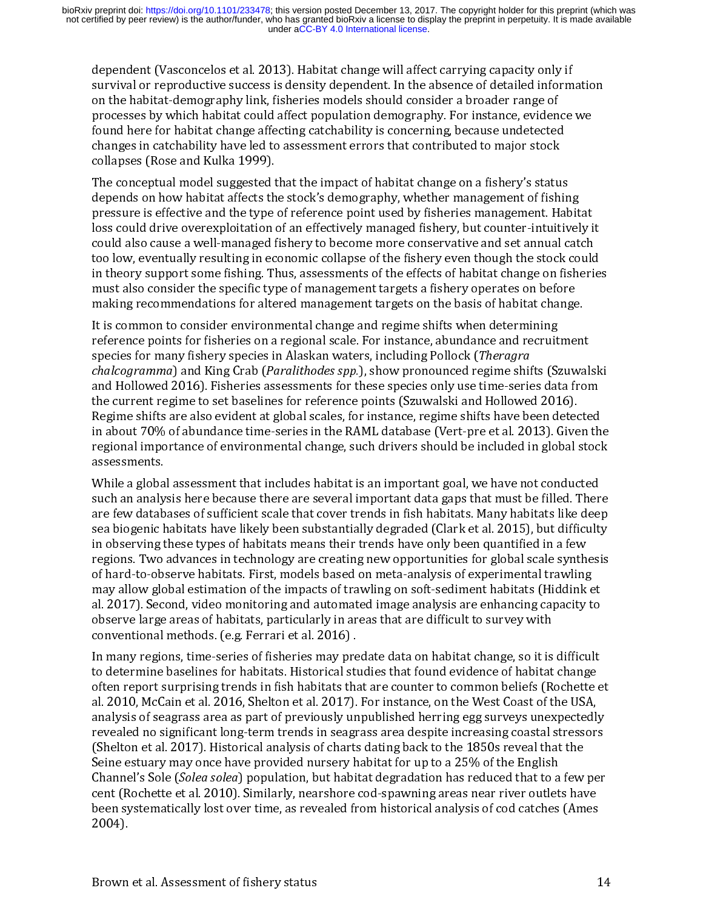survival or reproductive success is density dependent. In the absence of detailed inform<br>on the habitat-demography link, fisheries models should consider a broader range of<br>processes by which habitat could affect populatio on the habitat-demography link, fisheries models should consider a broader range of<br>processes by which habitat could affect population demography. For instance, evidence we<br>found here for habitat change affecting catchabil processes by which habitat could affect population demography. For instance, eviden<br>found here for habitat change affecting catchability is concerning, because undetected<br>changes in catchability have led to assessment erro from the for habitat change affecting catchability is concerning, because undetected changes in catchability have led to assessment errors that contributed to major stock collapses (Rose and Kulka 1999).<br>The conceptual mod changes in catchability have led to assessment errors that contributed to major stock<br>collapses (Rose and Kulka 1999).<br>The conceptual model suggested that the impact of habitat change on a fishery's status<br>depends on how h collapses (Rose and Kulka 1999).<br>The conceptual model suggested that the impact of habitat change on a fishery's statu<br>depends on how habitat affects the stock's demography, whether management of fish<br>pressure is effective The conceptual model suggested t<br>depends on how habitat affects th<br>pressure is effective and the type<br>loss could drive overexploitation<br>could also cause a well-managed f<br>too low, eventually resulting in ec<br>in theory suppor depends on how habitat affects the stock's demography, whether management of fishing pressure is effective and the type of reference point used by fisheries management. Habitat change of the type of reference point used by pressure is effective and the type of reference point used by fisheries management. Habit<br>loss could drive overexploitation of an effectively managed fishery, but counter-intuitivel<br>could also cause a well-managed fishery

responsive and drive over exploitation of an effectively managed fishery, but counter-intuitively if could also cause a well-managed fishery to become more conservative and set annual catch too low, eventually resulting in could also cause a well-managed fishery to become more conservative and set annual catch<br>too low, eventually resulting in economic collapse of the fishery even though the stock could<br>in theory support some fishing. Thus, a too low, eventually resulting in economic collapse of the fishery even though the stock could<br>in theory support some fishing. Thus, assessments of the effects of habitat change on fisheri<br>must also consider the specific ty in theory support some fishing. Thus, assessments of the effects of habitat change on fisherie must also consider the specific type of management targets a fishery operates on before making recommendations for altered mana must also consider the specific type of management targets a fishery operates on before making recommendations for altered management targets on the basis of habitat change.<br>It is common to consider environmental change an making recommendations for altered management targets on the basis of habitat change<br>It is common to consider environmental change and regime shifts when determining<br>reference points for fisheries on a regional scale. For It is common to consider environmental change and regime shifts when determining<br>reference points for fisheries on a regional scale. For instance, abundance and recruitmen<br>species for many fishery species in Alaskan waters reference points for fisheries on a regional scale. For instance, abundance and recruit<br>species for many fishery species in Alaskan waters, including Pollock (*Theragra*<br>chalcogramma) and King Crab (*Paralithodes spp.*), s species for many fishery species in Alaskan waters, including Pollock (*Theragra*<br>chalcogramma) and King Crab (*Paralithodes spp.*), show pronounced regime shifts (Szuwal<br>and Hollowed 2016). Fisheries assessments for these species for many fishery species in Maskan waters, including Pollock (Theragra<br>chalcogramma) and King Crab (Paralithodes spp.), show pronounced regime shift<br>and Hollowed 2016). Fisheries assessments for these species only

enance of any and Nilly Crab (Variancets spp.), show protoucted regime shifts are chalcogramma) and Hollowed 2016). Fisheries assessments for these species only use time-series data from the current regime to set baselines the current regime to set baselines for reference points (Szuwalski and Hollowed 2016).<br>Regime shifts are also evident at global scales, for instance, regime shifts have been detected<br>in about 70% of abundance time-series Regime shifts are also evident at global scales, for instance, regime shifts have been detection<br>in about 70% of abundance time-series in the RAML database (Vert-pre et al. 2013). Give<br>regional importance of environmental in about 70% of abundance time-series in the RAML database (Vert-pre et al. 2013). Given the regional importance of environmental change, such drivers should be included in global stoclessessments.<br>While a global assessmen regional importance of environmental change, such drivers should be included in global stock<br>assessments.<br>While a global assessment that includes habitat is an important goal, we have not conducted<br>such an analysis here be assessments.<br>While a global assessment that includes habitat is an important goal, we have not conducted<br>such an analysis here because there are several important data gaps that must be filled. There<br>are few databases of s Mhile a globa<br>such an analy<br>are few datab<br>sea biogenic l<br>in observing t<br>regions. Two<br>of hard-to-ob:<br>may allow glo<br>al. 2017). Secu<br>observe large<br>conventional<br>In many regic such an analysis here because there are several important data gaps that must be filled. Then<br>are few databases of sufficient scale that cover trends in fish habitats. Many habitats like dee<br>sea biogenic habitats have like are few databases of sufficient scale that cover trends in fish habitats. Many habitats like deep<br>sea biogenic habitats have likely been substantially degraded (Clark et al. 2015), but difficulty<br>in observing these types o sea biogenic habitats have likely been substantially degraded (Clark et al. 2015), but difficulty<br>in observing these types of habitats means their trends have only been quantified in a few<br>regions. Two advances in technolo in observing these types of habitats means their trends have only been quantified in a few regions. Two advances in technology are creating new opportunities for global scale synthesis of hard-to-observe habitats. First, m

regions. Two advances in technology are creating new opportunities for global scale synth<br>of hard-to-observe habitats. First, models based on meta-analysis of experimental trawling<br>may allow global estimation of the impact of hard-to-observe habitats. First, models based on meta-analysis of experimental trawling<br>may allow global estimation of the impacts of trawling on soft-sediment habitats (Hiddink et<br>al. 2017). Second, video monitoring an may allow global estimation of the impacts of trawling on soft-sediment habitats (Hiddink e<br>al. 2017). Second, video monitoring and automated image analysis are enhancing capacity t<br>observe large areas of habitats, particu al. 2017). Second, video monitoring and automated image analysis are enhancing capacity to observe large areas of habitats, particularly in areas that are difficult to survey with conventional methods. (e.g. Ferrari et al. observe large areas of habitats, particularly in areas that are difficult to survey with<br>conventional methods. (e.g. Ferrari et al. 2016).<br>In many regions, time-series of fisheries may predate data on habitat change, so it conventional methods. (e.g. Ferrari et al. 2016).<br>In many regions, time-series of fisheries may predate data on habitat change, so it is<br>to determine baselines for habitats. Historical studies that found evidence of habita In many regions, time-series of fisheries may pre<br>to determine baselines for habitats. Historical studies<br>often report surprising trends in fish habitats tha<br>al. 2010, McCain et al. 2016, Shelton et al. 2017).<br>analysis of to determine baselines for habitats. Historical studies that found evidence of habitat change often report surprising trends in fish habitats that are counter to common beliefs (Rochette e al. 2010, McCain et al. 2016, She often report surprising trends in fish habitats that are counter to common beliefs (Rochette al. 2010, McCain et al. 2016, Shelton et al. 2017). For instance, on the West Coast of the USA, analysis of seagrass area as part al. 2010, McCain et al. 2016, Shelton et al. 2017). For instance, on the West Coast of the USA, analysis of seagrass area as part of previously unpublished herring egg surveys unexpectedly revealed no significant long-term analysis of seagrass area as part of previously unpublished herring egg surveys unexpected!<br>revealed no significant long-term trends in seagrass area despite increasing coastal stressor:<br>(Shelton et al. 2017). Historical a revealed no significant long-term trends in seagrass area despite increasing coastal stressors<br>(Shelton et al. 2017). Historical analysis of charts dating back to the 1850s reveal that the<br>Seine estuary may once have provi (Shelton et al. 2017). Historical analysis of charts dating back to the 1850s reveal that the Seine estuary may once have provided nursery habitat for up to a 25% of the English Channel's Sole (*Solea solea*) population, b Seine estuary may once have provided nursery habitat for up to a 25% of the English<br>Channel's Sole (*Solea solea*) population, but habitat degradation has reduced that to a few<br>cent (Rochette et al. 2010). Similarly, nears Channel's Sole (*Solea solea*) population, but habitat degradation has reduced that to a cent (Rochette et al. 2010). Similarly, nearshore cod-spawning areas near river outlet been systematically lost over time, as reveale Channel's Sole (Solea solea) population, but habitat degradation has reduced that to a few per<br>cent (Rochette et al. 2010). Similarly, nearshore cod-spawning areas near river outlets have<br>been systematically lost over time cent (Euclid III and 2013). Similarly, near river outlets pair areas near river outlets have been systematically lost over time, as revealed from historical analysis of cod catches (Ames 2004).<br>2004).<br>Brown et al. Assessme been systematically lost over time, as revealed from historical analysis of code catches (Ames)<br>2004).<br>Brown et al. Assessment of fishery status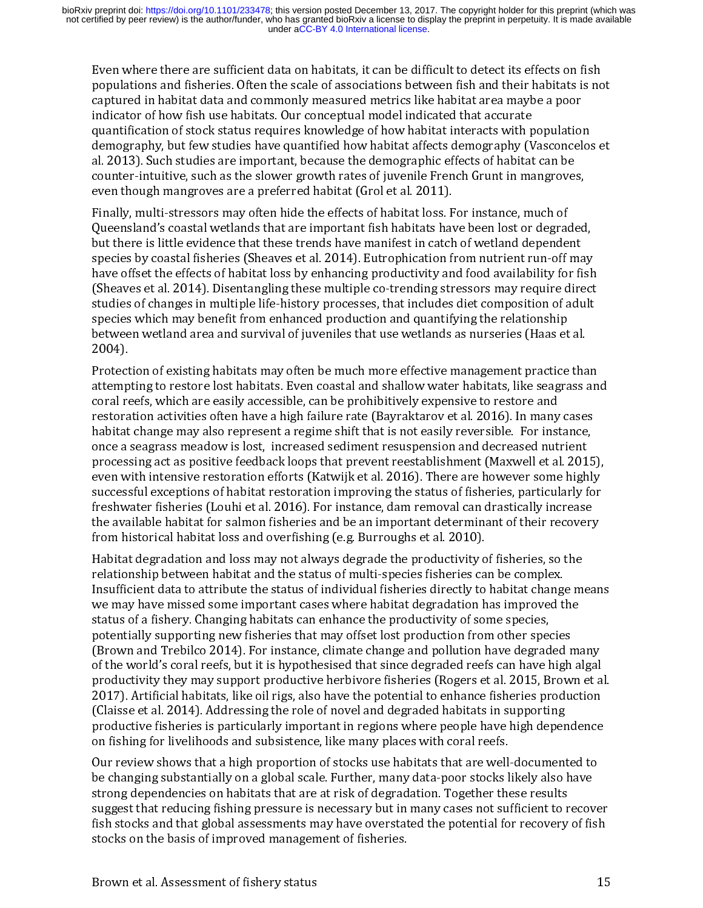populations and fisheries. Often the scale of associations between fish and their habitats is no<br>captured in habitat data and commonly measured metrics like habitat area maybe a poor<br>indicator of how fish use habitats. Our representing in habitat data and commonly measured metrics like habitat area maybe a poor indicator of how fish use habitats. Our conceptual model indicated that accurate quantification of stock status requires knowledge o

indicator of how fish use habitats. Our conceptual model indicated that accurate<br>quantification of stock status requires knowledge of how habitat interacts with populatio<br>demography, but few studies have quantified how hab quantification of stock status requires knowledge of how habitat interacts with p<br>demography, but few studies have quantified how habitat affects demography (V<br>al. 2013). Such studies are important, because the demographic demography, but few studies have quantified how habitat affects demography (Vasconcelo:<br>al. 2013). Such studies are important, because the demographic effects of habitat can be<br>counter-intuitive, such as the slower growth al. 2013). Such studies are important, because the demographic effects of habitat can be counter-intuitive, such as the slower growth rates of juvenile French Grunt in mangroves, even though mangroves are a preferred habit counter-intuitive, such as the slower growth rates of juvenile French Grunt in mangroves<br>even though mangroves are a preferred habitat (Grol et al. 2011).<br>Finally, multi-stressors may often hide the effects of habitat loss even though mangroves are a preferred habitat (Grol et al. 2011).<br>Finally, multi-stressors may often hide the effects of habitat loss. For instance, much of<br>Queensland's coastal wetlands that are important fish habitats ha Finally, multi-stressors may often hide the effects of habitat loss. F<br>Queensland's coastal wetlands that are important fish habitats hav<br>but there is little evidence that these trends have manifest in catch<br>species by coa Queensland's coastal wetlands that are important fish habitats have been lost or degrace but there is little evidence that these trends have manifest in catch of wetland dependes species by coastal fisheries (Sheaves et al but there is little evidence that these trends have manifest in catch of wetland dependent<br>species by coastal fisheries (Sheaves et al. 2014). Eutrophication from nutrient run-off may<br>have offset the effects of habitat los species by coastal fisheries (Sheaves et al. 2014). Eutrophication from nutrient run-off ma<br>have offset the effects of habitat loss by enhancing productivity and food availability for fi<br>(Sheaves et al. 2014). Disentanglin

have offset the effects of habitat loss by enhancing productivity and food availability for fish<br>(Sheaves et al. 2014). Disentangling these multiple co-trending stressors may require direct<br>studies of changes in multiple l (Sheaves et al. 2014). Disentangling these multiple co-trending stressors may require direct studies of changes in multiple life-history processes, that includes diet composition of adult species which may benefit from enh studies of changes in multiple life-history processes, that includes diet composition of adult<br>species which may benefit from enhanced production and quantifying the relationship<br>between wetland area and survival of juveni species which may benefit from enhanced production and quantifying the relationship<br>between wetland area and survival of juveniles that use wetlands as nurseries (Haas et al.<br>2004).<br>Protection of existing habitats may ofte between wetland area and survival of juveniles that use wetlands as nurseries (Haas et 2004).<br>Protection of existing habitats may often be much more effective management practice<br>attempting to restore lost habitats. Even c 2004).<br>
Protection of existing habitats may often be much more effective management practice that<br>
attempting to restore lost habitats. Even coastal and shallow water habitats, like seagrass<br>
coral reefs, which are easily Protect<br>Protect<br>attemp<br>coral re<br>restora<br>habitat<br>process<br>even w<br>success<br>freshw.<br>the ava<br>from hi attempting to restore lost habitats. Even coastal and shallow water habitats, like seagrass an coral reefs, which are easily accessible, can be prohibitively expensive to restore and restoration activities often have a hig coral reefs, which are easily accessible, can be prohibitively expensive to restore and<br>restoration activities often have a high failure rate (Bayraktarov et al. 2016). In many cases<br>habitat change may also represent a reg restoration activities often have a high failure rate (Bayraktarov et al. 2016). In many habitat change may also represent a regime shift that is not easily reversible. For instonce a seagrass meadow is lost, increased sed habitat change may also represent a regime shift that is not easily reversible. For instance, once a seagrass meadow is lost, increased sediment resuspension and decreased nutrient processing act as positive feedback loops once a seagrass meadow is lost, increased sediment resuspension and decreased nutrient<br>processing act as positive feedback loops that prevent reestablishment (Maxwell et al. 2015<br>even with intensive restoration efforts (Ka

processing act as positive feedback loops that prevent reestablishment (Maxwell et al. 201<br>even with intensive restoration efforts (Katwijk et al. 2016). There are however some high<br>successful exceptions of habitat restora even with intensive restoration efforts (Katwijk et al. 2016). There are however some highly successful exceptions of habitat restoration improving the status of fisheries, particularly for freshwater fisheries (Louhi et a successful exceptions of habitat restoration improving the status of fisheries, particularly for freshwater fisheries (Louhi et al. 2016). For instance, dam removal can drastically increase the available habitat for salmon freshwater fisheries (Louhi et al. 2016). For instance, dam removal can drastically increase<br>the available habitat for salmon fisheries and be an important determinant of their recovery<br>from historical habitat loss and ove the available habitat for salmon fisheries and be an important determinant of their recovery<br>from historical habitat loss and overfishing (e.g. Burroughs et al. 2010).<br>Habitat degradation and loss may not always degrade th from historical habitat loss and overfishing (e.g. Burroughs et al. 2010).<br>Habitat degradation and loss may not always degrade the productivity of fisheries, so the relationship between habitat and the status of multi-spec From and the matrice and overture any order the productivity of relationship between habitat and the status of multi-species fisheries call is audificient data to attribute the status of individual fisheries directly to we relationship between habitat and the status of multi-species fisheries can be complex.<br>Insufficient data to attribute the status of individual fisheries directly to habitat change m<br>we may have missed some important cases Insufficient data to attribute the status of individual fisheries directly to habitat chang<br>we may have missed some important cases where habitat degradation has improved t<br>status of a fishery. Changing habitats can enhanc We may have missed some important cases where habitat degradation has improved the status of a fishery. Changing habitats can enhance the productivity of some species, potentially supporting new fisheries that may offset l status of a fishery. Changing habitats can enhance the productivity of some species, potentially supporting new fisheries that may offset lost production from other species, potentially supporting new fisheries that may of potentially supporting new fisheries that may offset lost production from other spec<br>(Brown and Trebilco 2014). For instance, climate change and pollution have degrad<br>of the world's coral reefs, but it is hypothesised that (Brown and Trebilco 2014). For instance, climate change and pollution have degraded r of the world's coral reefs, but it is hypothesised that since degraded reefs can have high productivity they may support productive herb of the world's coral reefs, but it is hypothesised that since degraded reefs can have high algal<br>productivity they may support productive herbivore fisheries (Rogers et al. 2015, Brown et a<br>2017). Artificial habitats, like

productivity they may support productive herbivore fisheries (Rogers et al. 2015, Brown et a 2017). Artificial habitats, like oil rigs, also have the potential to enhance fisheries production (Claisse et al. 2014). Address 2017). Artificial habitats, like oil rigs, also have the potential to enhance fisheries production (Claisse et al. 2014). Addressing the role of novel and degraded habitats in supporting productive fisheries is particularl (Claisse et al. 2014). Addressing the role of novel and degraded habitats in supporting<br>productive fisheries is particularly important in regions where people have high dependence<br>on fishing for livelihoods and subsistence productive fisheries is particularly important in regions where people have high deper<br>on fishing for livelihoods and subsistence, like many places with coral reefs.<br>Our review shows that a high proportion of stocks use ha production fishing for livelihoods and subsistence, like many places with coral reefs.<br>
Our review shows that a high proportion of stocks use habitats that are well-documented to<br>
be changing substantially on a global scal Finally are in the interest and spiritually places with court relations.<br>Our review shows that a high proportion of stocks use habitats that are well<br>be changing substantially on a global scale. Further, many data-poor sto be changing substantially on a global scale. Further, many data-poor stocks likely also have<br>strong dependencies on habitats that are at risk of degradation. Together these results<br>suggest that reducing fishing pressure is be changing substantially substantially denote a general strong dependencies on habitats that are at risk of degradation. Together these results suggest that reducing fishing pressure is necessary but in many cases not suf suggest that reducing fishing pressure is necessary but in many cases not sufficient to r<br>fish stocks and that global assessments may have overstated the potential for recovery<br>stocks on the basis of improved management of suggest that reducing neurog pressure is interesting for in many cases.<br>
fish stocks and that global assessments may have overstated the potential for recovery of fish<br>
stocks on the basis of improved management of fisheri fish stocks on the basis of improved management of fisheries.<br>Brown et al. Assessment of fishery status and the potential for recovery of fisheries.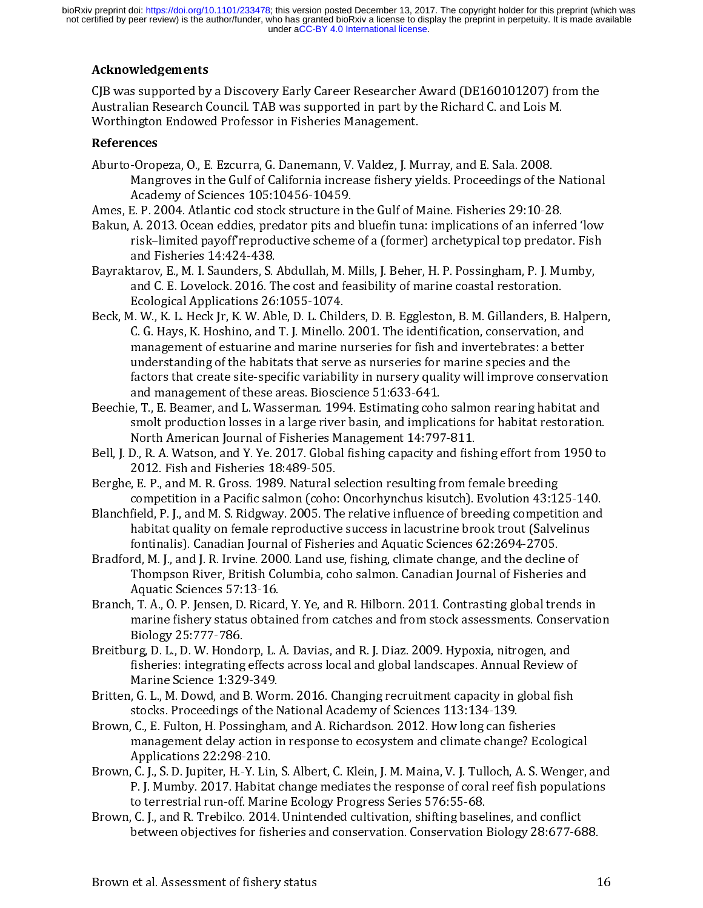## Acknowledgements

#### References

- Australian Research Council. TAB was supported in part by the Richard C. and Lois M.<br>
Worthington Endowed Professor in Fisheries Management.<br> **References**<br>
Aburto-Oropeza, O., E. Ezcurra, G. Danemann, V. Valdez, J. Murray, Worthington Endowed Professor in Fisheries Management.<br> **References**<br>
Aburto-Oropeza, O., E. Ezcurra, G. Danemann, V. Valdez, J. Murray, and E. Sala. 2008.<br>
Mangroves in the Gulf of California increase fishery yields. Proc **References**<br>
Aburto-Oropeza, O., E. Ezcurra, G. Danemann, V. Valdez, J. Mindmanagement.<br>
Managroves in the Gulf of California increase fishery y<br>
Academy of Sciences 105:10456-10459.<br>
Ames, E. P. 2004. Atlantic cod stock
- 
- 
- 
- Mangroves in the Gulf of California increase fishery yields. Proceedings of the<br>Academy of Sciences 105:10456-10459.<br>Ames, E. P. 2004. Atlantic cod stock structure in the Gulf of Maine. Fisheries 29:10-21<br>Bakun, A. 2013. O Academy of Sciences 105:10456-10459<br>
E. P. 2004. Atlantic cod stock structure in the Gulf of Maine. Fisheries 29:10-28.<br>
A. 2013. Ocean eddies, predator pits and bluefin tuna: implications of an inferred 'low<br>
risk–limited E. P. 2004. Atlantic cod stock structure in<br>A. 2013. Ocean eddies, predator pits and<br>risk–limited payoff reproductive scheme<br>and Fisheries 14:424-438.<br>tarov, E., M. I. Saunders, S. Abdullah, M. M<br>and C. E. Lovelock. 2016. Bakun, A. 2013. Ocean eddies, predator pits and bluefin tuna: implications of an inferr<br>risk-limited payoff reproductive scheme of a (former) archetypical top predate<br>and Fisheries 14:424-438.<br>Bayraktarov, E., M. I. Saunde risk–limited payoff reproductive scheme of a (former) archetypical top predator. Fish<br>and Fisheries 14:424-438.<br>Bayraktarov, E., M. I. Saunders, S. Abdullah, M. Mills, J. Beher, H. P. Possingham, P. J. Mumby,<br>and C. E. Lov and Fisheries 14:424-438.<br>
arrov, E., M. I. Saunders, S. Abdullah, M. Mills, J. Beher, H. P. Possingham, P. J. Mumby,<br>
and C. E. Lovelock. 2016. The cost and feasibility of marine coastal restoration.<br>
Ecological Applicati tarov, E., M. I. Saunders, S. .<br>and C. E. Lovelock. 2016. T.<br>Ecological Applications 26:<br>I. W., K. L. Heck Jr, K. W. Ab<br>C. G. Hays, K. Hoshino, and<br>management of estuarine a<br>understanding of the habit<br>factors that create s and C. E. Lovelock. 2016. The cost and feasibility of marine coastal restoration.<br>
Ecological Applications 26:1055-1074.<br>
Beck, M. W., K. L. Heck Jr, K. W. Able, D. L. Childers, D. B. Eggleston, B. M. Gillanders, B. Halper Ecological Applications 26:1055-1074.<br>1. W., K. L. Heck Jr, K. W. Able, D. L. Childers, D. B. Eggleston, B. M. Gillanders, B. C. G. Hays, K. Hoshino, and T. J. Minello. 2001. The identification, conservation, management of I. W., K. L. Heck Jr, K. W. Able, D. L. Child<br>C. G. Hays, K. Hoshino, and T. J. Minello.<br>C. G. Hays, K. Hoshino, and T. J. Minello.<br>management of estuarine and marine n<br>understanding of the habitats that serve<br>factors that C. G. Hays, K. Hoshino, and T. J. Minello. 2001. The identification, conservation, and<br>management of estuarine and marine nurseries for fish and invertebrates: a better<br>understanding of the habitats that serve as nurseries management of estuarine and marine nurseries for fish and invertebrates: a better understanding of the habitats that serve as nurseries for marine species and the factors that create site-specific variability in nursery qu understanding of the habitats that serve as nurseries for marine species and the factors that create site-specific variability in nursery quality will improve conservat<br>and management of these areas. Bioscience 51:633-641.
- factors that create site-specific variability in nursery quality will improve conser<br>and management of these areas. Bioscience 51:633-641.<br>e, T., E. Beamer, and L. Wasserman. 1994. Estimating coho salmon rearing habita<br>smo and management of these areas. Bioscience 51:633-641.<br>
e, T., E. Beamer, and L. Wasserman. 1994. Estimating coho salmon rearing habitat and<br>
smolt production losses in a large river basin, and implications for habitat rest e, T., E. Beamer, and L. Wasserman. 1994. Estimating coharanolt production losses in a large river basin, and implic North American Journal of Fisheries Management 14:79;<br>D., R. A. Watson, and Y. Ye. 2017. Global fishing c
- 
- 
- smolt production losses in a large river basin, and implications for habitat restoration<br>North American Journal of Fisheries Management 14:797-811.<br>Bell, J. D., R. A. Watson, and Y. Ye. 2017. Global fishing capacity and fi North American Journal of Fisheries Management 14:797-811.<br>
D., R. A. Watson, and Y. Ye. 2017. Global fishing capacity and fishing effort from 1950 to<br>
2012. Fish and Fisheries 18:489-505.<br>
, E. P., and M. R. Gross. 1989. D., R. A. Watson, and Y. Ye. 2017. Global fishing capacity and fish 2012. Fish and Fisheries 18:489-505.<br>
E. P., and M. R. Gross. 1989. Natural selection resulting from fe<br>
competition in a Pacific salmon (coho: Oncorhynch , E. P., and M. R. Gross. 1989. Natural s<br>competition in a Pacific salmon (cohor<br>field, P. J., and M. S. Ridgway. 2005. Th<br>habitat quality on female reproductive<br>fontinalis). Canadian Journal of Fisher<br>rd, M. J., and J. R. competition in a Pacific salmon (coho: Oncorhynchus kisutch). Evolution 43:13<br>Blanchfield, P. J., and M. S. Ridgway. 2005. The relative influence of breeding competitive<br>habitat quality on female reproductive success in la field, P. J., and M. S. Ridgway. 2005. The relative influence of breeding competition and<br>habitat quality on female reproductive success in lacustrine brook trout (Salvelinus<br>fontinalis). Canadian Journal of Fisheries and
- 
- 2012. Fish and Fisheries 18:489-505.<br>
Berghe, E. P., and M. R. Gross. 1989. Natural selection resulting from female breeding<br>
competition in a Pacific salmon (coho: Oncorhynchus kisutch). Evolution 43:125-140.<br>
Blanchfield habitat quality on female reproductive success in lacustrine brook trout (Salvelinus<br>fontinalis). Canadian Journal of Fisheries and Aquatic Sciences 62:2694-2705.<br>Bradford, M. J., and J. R. Irvine. 2000. Land use, fishing, fontinalis). Canadian Journal of Fisheries and Aquatic Sciences 62:2694-2705.<br>
rd, M. J., and J. R. Irvine. 2000. Land use, fishing, climate change, and the decline of<br>
Thompson River, British Columbia, coho salmon. Canadi rd, M. J., and J. R. Irvine. 2000. Land use, fishing, climate change, and the decline<br>Thompson River, British Columbia, coho salmon. Canadian Journal of Fisheries<br>Aquatic Sciences 57:13-16.<br>, T. A., O. P. Jensen, D. Ricard Thompson River, British Columbia, coho salmon. Canadian Journal of Fisheries and<br>Aquatic Sciences 57:13-16.<br>Branch, T. A., O. P. Jensen, D. Ricard, Y. Ye, and R. Hilborn. 2011. Contrasting global trends<br>marine fishery stat Aquatic Sciences 57:13-16.<br>
, T. A., O. P. Jensen, D. Ricard, Y. Ye, and R. Hilborn. 2011. Contrasting global trends i<br>
marine fishery status obtained from catches and from stock assessments. Conservat<br>
Biology 25:777-786. 1. T. A., O. P. Jensen, D. Ricard<br>
T. A., O. P. Jensen, D. Ricard<br>
marine fishery status obtain<br>
Biology 25:777-786.<br>
Irg, D. L., D. W. Hondorp, L. I<br>
fisheries: integrating effects<br>
Marine Science 1:329-349.<br>
, G. L., M.
- marine fishery status obtained from catches and from stock assessments. Conservation<br>Breitburg, D. L., D. W. Hondorp, L. A. Davias, and R. J. Diaz. 2009. Hypoxia, nitrogen, and<br>fisheries: integrating effects across local a irg, D. L., D. W. Hondc<br>fisheries: integrating<br>Marine Science 1:329<br>, G. L., M. Dowd, and I<br>stocks. Proceedings c<br>C., E. Fulton, H. Poss<br>management delay a<br>Applications 22:298-<br>C. J., S. D. Jupiter, H.-<br>P. J. Mumby. 2017.
- 
- fisheries: integrating effects across local and global landscapes. Annual Review o<br>Marine Science 1:329-349.<br>Britten, G. L., M. Dowd, and B. Worm. 2016. Changing recruitment capacity in global fish<br>stocks. Proceedings of t Marine Science 1:329-349.<br>
G. L., M. Dowd, and B. Worm. 2016. Changing recruitment capacity in global fish<br>
stocks. Proceedings of the National Academy of Sciences 113:134-139.<br>
C., E. Fulton, H. Possingham, and A. Richard G. L., M. Dowd, and B. Wor<br>stocks. Proceedings of the N. C., E. Fulton, H. Possinghan<br>management delay action i:<br>Applications 22:298-210.<br>C. J., S. D. Jupiter, H.-Y. Lin,<br>P. J. Mumby. 2017. Habitat to<br>terrestrial run-off. stocks. Proceedings of the National Academy of Sciences 113:134-139.<br>Brown, C., E. Fulton, H. Possingham, and A. Richardson. 2012. How long can fisheries<br>management delay action in response to ecosystem and climate change? c., E. Fulton, H. Possingham, and A. Richardson. 2012. How long can fis management delay action in response to ecosystem and climate change Applications 22:298-210.<br>C. J., S. D. Jupiter, H.-Y. Lin, S. Albert, C. Klein, J.
- Biology 25:777-786.<br>
Irg, D. L., D. W. Hondorp, L. A. Davias, and R. J. Diaz. 2009. Hypoxia, nitrogen, and<br>
fisheries: integrating effects across local and global landscapes. Annual Review of<br>
Marine Science 1:329-349.<br>
G. management delay action in response to ecosystem and climate change? Ecolc<br>Applications 22:298-210.<br>Brown, C. J., S. D. Jupiter, H.-Y. Lin, S. Albert, C. Klein, J. M. Maina, V. J. Tulloch, A. S. We<br>P. J. Mumby. 2017. Habit Applications 22:298-210.<br>
C. J., S. D. Jupiter, H.-Y. Lin, S. Albert, C. Klein, J. M. Maina, V. J. Tulloch, A. S. Wenger,<br>
P. J. Mumby. 2017. Habitat change mediates the response of coral reef fish populatic<br>
to terrestria F. C. J., S. D. Jupiter, H.-Y. Lir<br>P. J. Mumby. 2017. Habitato<br>to terrestrial run-off. Mari<br>C. J., and R. Trebilco. 2014<br>between objectives for fis<br>et al. Assessment of fisher Brown, C. J., and R. Trebilco. 2014. Unintended cultivation, shifting baselines, and conflict<br>Brown, C. J., and R. Trebilco. 2014. Unintended cultivation, shifting baselines, and conflict<br>between objectives for fisheries a
- to terrestrial run-off. Marine Ecology Progress Series 576:55-68.<br>
C. J., and R. Trebilco. 2014. Unintended cultivation, shifting baselines, and conflict<br>
between objectives for fisheries and conservation. Conservation Bio to terrestriangle C. J., and R. Trebilco. 2014. Unintended cultivation, shifting basel<br>between objectives for fisheries and conservation. Conservation 1<br>et al. Assessment of fishery status Brown, C., and R. Trebile C. J., and R. Trebile C. J., and R. Trebile C. J., and R. Trebile C. J., and C. D. S<br>Brown et al. Assessment of fishery status<br>Brown et al. Assessment of fishery status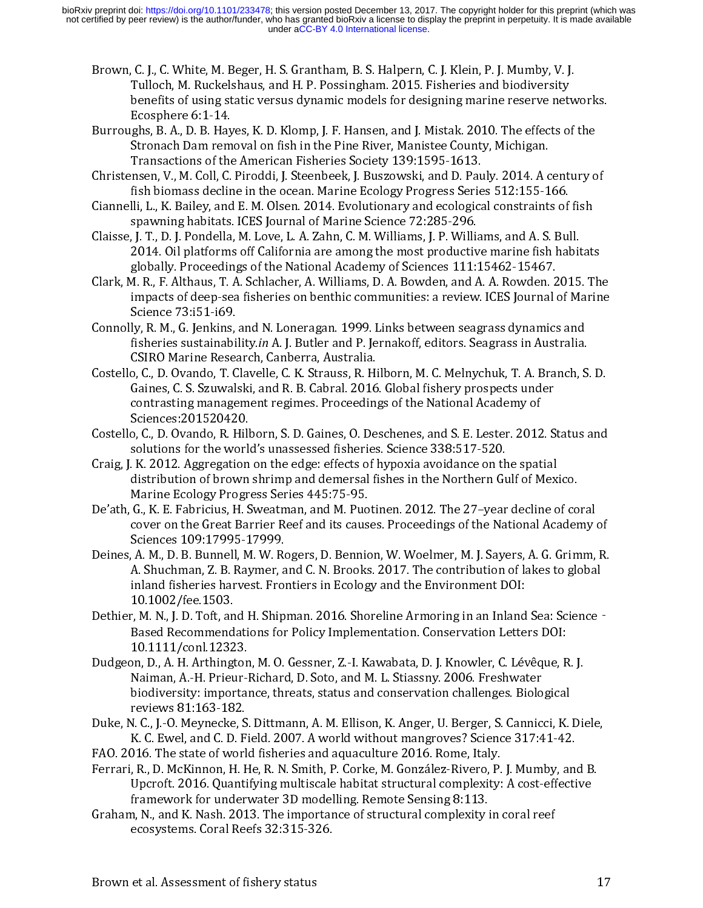Brown, C. J., C. White, M. Beger, H. S. Grantham, B. S. Halpern, C. J. Klein, P. J. Mumby, V. J. Tulloch, M. Ruckelshaus, and H. P. Possingham. 2015. Fisheries and biodiversity benefits of using static versus dynamic models for designing marine reserve networks. Ecosphere  $6.1-14$ .

Burroughs, B. A., D. B. Hayes, K. D. Klomp, J. F. Hansen, and J. Mistak. 2010. The effects of the Stronach Dam removal on fish in the Pine River, Manistee County, Michigan. Transactions of the American Fisheries Society 139:1595-1613.

Christensen, V., M. Coll, C. Piroddi, J. Steenbeek, J. Buszowski, and D. Pauly. 2014. A century of fish biomass decline in the ocean. Marine Ecology Progress Series 512:155-166.

- Ciannelli, L., K. Bailey, and E. M. Olsen. 2014. Evolutionary and ecological constraints of fish spawning habitats. ICES Journal of Marine Science 72:285-296.
- Claisse, J. T., D. J. Pondella, M. Love, L. A. Zahn, C. M. Williams, J. P. Williams, and A. S. Bull. 2014. Oil platforms off California are among the most productive marine fish habitats globally. Proceedings of the National Academy of Sciences 111:15462-15467.
- Clark, M. R., F. Althaus, T. A. Schlacher, A. Williams, D. A. Bowden, and A. A. Rowden. 2015. The impacts of deep-sea fisheries on benthic communities: a review. ICES Journal of Marine Science 73:i51-i69.
- Connolly, R. M., G. Jenkins, and N. Loneragan. 1999. Links between seagrass dynamics and fisheries sustainability.in A. J. Butler and P. Jernakoff, editors. Seagrass in Australia. CSIRO Marine Research, Canberra, Australia.
- Costello, C., D. Ovando, T. Clavelle, C. K. Strauss, R. Hilborn, M. C. Melnychuk, T. A. Branch, S. D. Gaines, C. S. Szuwalski, and R. B. Cabral. 2016. Global fishery prospects under contrasting management regimes. Proceedings of the National Academy of Sciences:201520420.
- Costello, C., D. Ovando, R. Hilborn, S. D. Gaines, O. Deschenes, and S. E. Lester. 2012. Status and solutions for the world's unassessed fisheries. Science 338:517-520.
- Craig, J. K. 2012. Aggregation on the edge: effects of hypoxia avoidance on the spatial distribution of brown shrimp and demersal fishes in the Northern Gulf of Mexico. Marine Ecology Progress Series 445:75-95.
- De'ath, G., K. E. Fabricius, H. Sweatman, and M. Puotinen. 2012. The 27–year decline of coral cover on the Great Barrier Reef and its causes. Proceedings of the National Academy of Sciences 109:17995-17999.
- Deines, A. M., D. B. Bunnell, M. W. Rogers, D. Bennion, W. Woelmer, M. J. Sayers, A. G. Grimm, R. A. Shuchman, Z. B. Raymer, and C. N. Brooks. 2017. The contribution of lakes to global inland fisheries harvest. Frontiers in Ecology and the Environment DOI: 10.1002/fee.1503.
- Based Recommendations for Policy Implementation. Conservation Letters DOI: 10.1111/conl.12323.
- Dethier, M. N., J. D. Toft, and H. Shipman. 2016. Shoreline Armoring in an Inland Sea: Science -<br>Based Recommendations for Policy Implementation. Conservation Letters DOI:<br>10.1111/conl.12323.<br>Dudgeon, D., A. H. Arthington, Dudgeon, D., A. H. Arthington, M. O. Gessner, Z.-I. Kawabata, D. J. Knowler, C. Lévêque, R. J. Naiman, A.-H. Prieur-Richard, D. Soto, and M. L. Stiassny. 2006. Freshwater biodiversity: importance, threats, status and conservation challenges. Biological reviews 81:163-182.
- Duke, N. C., J.-O. Meynecke, S. Dittmann, A. M. Ellison, K. Anger, U. Berger, S. Cannicci, K. Diele, K. C. Ewel, and C. D. Field. 2007. A world without mangroves? Science 317:41-42.
- FAO. 2016. The state of world fisheries and aquaculture 2016. Rome, Italy.
- Ferrari, R., D. McKinnon, H. He, R. N. Smith, P. Corke, M. González-Rivero, P. J. Mumby, and B. Upcroft. 2016. Quantifying multiscale habitat structural complexity: A cost-effective framework for underwater 3D modelling. Remote Sensing 8:113.
- Graham, N., and K. Nash. 2013. The importance of structural complexity in coral reef ecosystems. Coral Reefs 32:315-326.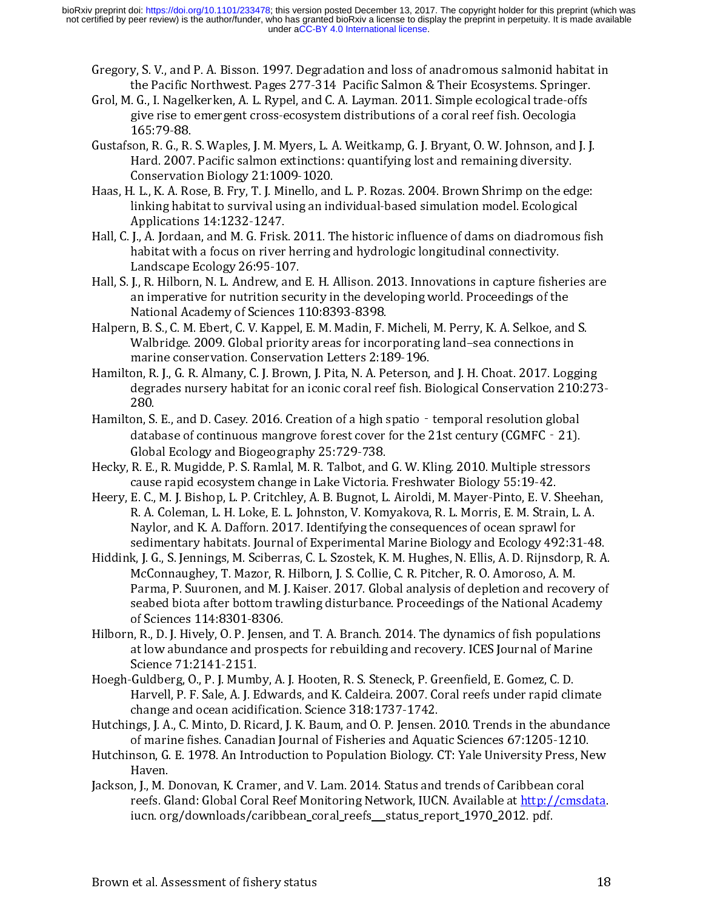- Gregory, S. V., and P. A. Bisson. 1997. Degradation and loss of anadromous salmonid habitat in the Pacific Northwest. Pages 277-314 Pacific Salmon & Their Ecosystems. Springer.
- Grol, M. G., I. Nagelkerken, A. L. Rypel, and C. A. Layman. 2011. Simple ecological trade-offs give rise to emergent cross-ecosystem distributions of a coral reef fish. Oecologia 165:79-88.
- Gustafson, R. G., R. S. Waples, J. M. Myers, L. A. Weitkamp, G. J. Bryant, O. W. Johnson, and J. J. Hard. 2007. Pacific salmon extinctions: quantifying lost and remaining diversity. Conservation Biology 21:1009-1020.
- Haas, H. L., K. A. Rose, B. Fry, T. J. Minello, and L. P. Rozas. 2004. Brown Shrimp on the edge: linking habitat to survival using an individual-based simulation model. Ecological Applications 14:1232-1247.
- Hall, C. J., A. Jordaan, and M. G. Frisk. 2011. The historic influence of dams on diadromous fish habitat with a focus on river herring and hydrologic longitudinal connectivity. Landscape Ecology 26:95-107.
- Hall, S. J., R. Hilborn, N. L. Andrew, and E. H. Allison. 2013. Innovations in capture fisheries are an imperative for nutrition security in the developing world. Proceedings of the National Academy of Sciences 110:8393-8398.
- Halpern, B. S., C. M. Ebert, C. V. Kappel, E. M. Madin, F. Micheli, M. Perry, K. A. Selkoe, and S. Walbridge. 2009. Global priority areas for incorporating land–sea connections in marine conservation. Conservation Letters 2:189-196.
- Hamilton, R. J., G. R. Almany, C. J. Brown, J. Pita, N. A. Peterson, and J. H. Choat. 2017. Logging degrades nursery habitat for an iconic coral reef fish. Biological Conservation 210:273- 280.
- Global Ecology and Biogeography 25:729-738.
- Hecky, R. E., R. Mugidde, P. S. Ramlal, M. R. Talbot, and G. W. Kling. 2010. Multiple stressors cause rapid ecosystem change in Lake Victoria. Freshwater Biology 55:19-42.
- Hamilton, S. E., and D. Casey. 2016. Creation of a high spatio‐temporal resolution global<br>database of continuous mangrove forest cover for the 21st century (CGMFC 21).<br>Global Ecology and Biogeography 25:729-738.<br>Hecky, R database of continuous mangrove forest cover for the 21st century (CGMFC - 21).<br>Global Ecology and Biogeography 25:729-738.<br>R. E., R. Mugidde, P. S. Ramlal, M. R. Talbot, and G. W. Kling. 2010. Multiple stresso<br>cause rapid Heery, E. C., M. J. Bishop, L. P. Critchley, A. B. Bugnot, L. Airoldi, M. Mayer-Pinto, E. V. Sheehan, R. A. Coleman, L. H. Loke, E. L. Johnston, V. Komyakova, R. L. Morris, E. M. Strain, L. A. Naylor, and K. A. Dafforn. 2017. Identifying the consequences of ocean sprawl for sedimentary habitats. Journal of Experimental Marine Biology and Ecology 492:31-48.
- Hiddink, J. G., S. Jennings, M. Sciberras, C. L. Szostek, K. M. Hughes, N. Ellis, A. D. Rijnsdorp, R. A. McConnaughey, T. Mazor, R. Hilborn, J. S. Collie, C. R. Pitcher, R. O. Amoroso, A. M. Parma, P. Suuronen, and M. J. Kaiser. 2017. Global analysis of depletion and recovery of seabed biota after bottom trawling disturbance. Proceedings of the National Academy of Sciences 114:8301-8306.
- Hilborn, R., D. J. Hively, O. P. Jensen, and T. A. Branch. 2014. The dynamics of fish populations at low abundance and prospects for rebuilding and recovery. ICES Journal of Marine Science 71:2141-2151.
- Hoegh-Guldberg, O., P. J. Mumby, A. J. Hooten, R. S. Steneck, P. Greenfield, E. Gomez, C. D. Harvell, P. F. Sale, A. J. Edwards, and K. Caldeira. 2007. Coral reefs under rapid climate change and ocean acidification. Science 318:1737-1742.
- Hutchings, J. A., C. Minto, D. Ricard, J. K. Baum, and O. P. Jensen. 2010. Trends in the abundance of marine fishes. Canadian Journal of Fisheries and Aquatic Sciences 67:1205-1210.
- Hutchinson, G. E. 1978. An Introduction to Population Biology. CT: Yale University Press, New Haven.
- Jackson, J., M. Donovan, K. Cramer, and V. Lam. 2014. Status and trends of Caribbean coral reefs. Gland: Global Coral Reef Monitoring Network, IUCN. Available at http://cmsdata. iucn. org/downloads/caribbean\_coral\_reefs\_status\_report 1970\_2012. pdf.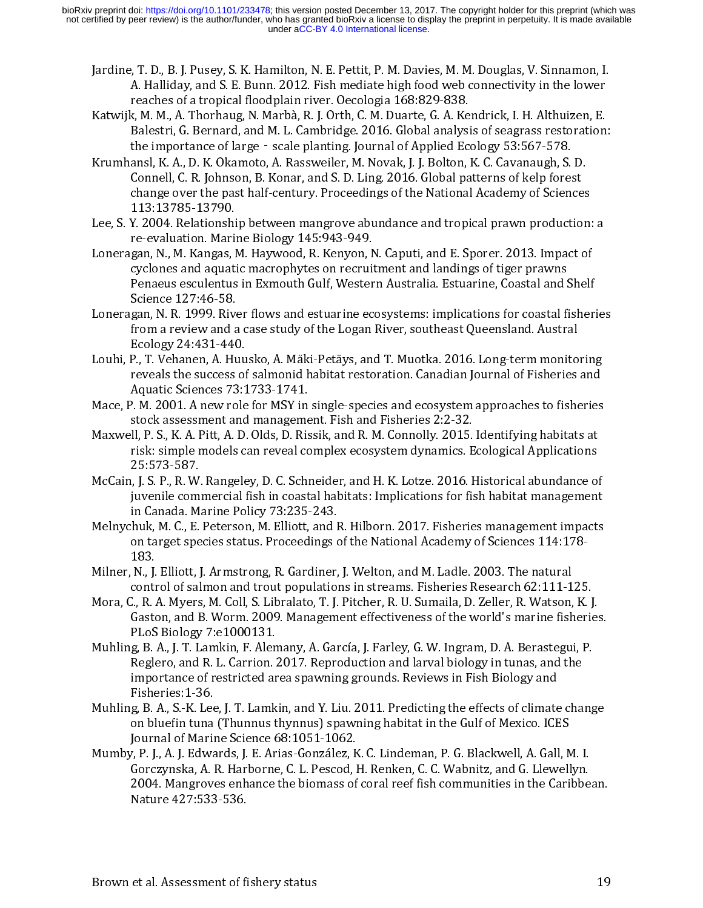- Jardine, T. D., B. J. Pusey, S. K. Hamilton, N. E. Pettit, P. M. Davies, M. M. Douglas, V. Sinnamon, I. A. Halliday, and S. E. Bunn. 2012. Fish mediate high food web connectivity in the lower reaches of a tropical floodplain river. Oecologia 168:829-838.
- Katwijk, M. M., A. Thorhaug, N. Marbà, R. J. Orth, C. M. Duarte, G. A. Kendrick, I. H. Althuizen, E. Balestri, G. Bernard, and M. L. Cambridge. 2016. Global analysis of seagrass restoration:
- the importance of large scale planting. Journal of Applied Ecology 53:567-578.<br>ansl, K. A., D. K. Okamoto, A. Rassweiler, M. Novak, J. J. Bolton, K. C. Cavanaugh, S.<br>Connell, C. R. Johnson, B. Konar, and S. D. Ling. 2016 Krumhansl, K. A., D. K. Okamoto, A. Rassweiler, M. Novak, J. J. Bolton, K. C. Cavanaugh, S. D. Connell, C. R. Johnson, B. Konar, and S. D. Ling. 2016. Global patterns of kelp forest change over the past half-century. Proceedings of the National Academy of Sciences 113:13785-13790.
- Lee, S. Y. 2004. Relationship between mangrove abundance and tropical prawn production: a re-evaluation. Marine Biology 145:943-949.
- Loneragan, N., M. Kangas, M. Haywood, R. Kenyon, N. Caputi, and E. Sporer. 2013. Impact of cyclones and aquatic macrophytes on recruitment and landings of tiger prawns Penaeus esculentus in Exmouth Gulf, Western Australia. Estuarine, Coastal and Shelf Science 127:46-58.
- Loneragan, N. R. 1999. River flows and estuarine ecosystems: implications for coastal fisheries from a review and a case study of the Logan River, southeast Queensland. Austral Ecology 24:431-440.
- Louhi, P., T. Vehanen, A. Huusko, A. Mäki-Petäys, and T. Muotka. 2016. Long-term monitoring reveals the success of salmonid habitat restoration. Canadian Journal of Fisheries and Aquatic Sciences 73:1733-1741.
- Mace, P. M. 2001. A new role for MSY in single-species and ecosystem approaches to fisheries stock assessment and management. Fish and Fisheries 2:2-32.
- Maxwell, P. S., K. A. Pitt, A. D. Olds, D. Rissik, and R. M. Connolly. 2015. Identifying habitats at risk: simple models can reveal complex ecosystem dynamics. Ecological Applications 25:573-587.
- McCain, J. S. P., R. W. Rangeley, D. C. Schneider, and H. K. Lotze. 2016. Historical abundance of juvenile commercial fish in coastal habitats: Implications for fish habitat management in Canada. Marine Policy 73:235-243.
- Melnychuk, M. C., E. Peterson, M. Elliott, and R. Hilborn. 2017. Fisheries management impacts on target species status. Proceedings of the National Academy of Sciences 114:178- 183.
- Milner, N., J. Elliott, J. Armstrong, R. Gardiner, J. Welton, and M. Ladle. 2003. The natural control of salmon and trout populations in streams. Fisheries Research 62:111-125.
- Mora, C., R. A. Myers, M. Coll, S. Libralato, T. J. Pitcher, R. U. Sumaila, D. Zeller, R. Watson, K. J. Gaston, and B. Worm. 2009. Management effectiveness of the world's marine fisheries. PLoS Biology 7:e1000131.
- Muhling, B. A., J. T. Lamkin, F. Alemany, A. García, J. Farley, G. W. Ingram, D. A. Berastegui, P. Reglero, and R. L. Carrion. 2017. Reproduction and larval biology in tunas, and the importance of restricted area spawning grounds. Reviews in Fish Biology and Fisheries:1-36.
- Muhling, B. A., S.-K. Lee, J. T. Lamkin, and Y. Liu. 2011. Predicting the effects of climate change on bluefin tuna (Thunnus thynnus) spawning habitat in the Gulf of Mexico. ICES Journal of Marine Science 68:1051-1062.
- Mumby, P. J., A. J. Edwards, J. E. Arias-González, K. C. Lindeman, P. G. Blackwell, A. Gall, M. I. Gorczynska, A. R. Harborne, C. L. Pescod, H. Renken, C. C. Wabnitz, and G. Llewellyn. 2004. Mangroves enhance the biomass of coral reef fish communities in the Caribbean. Nature 427:533-536.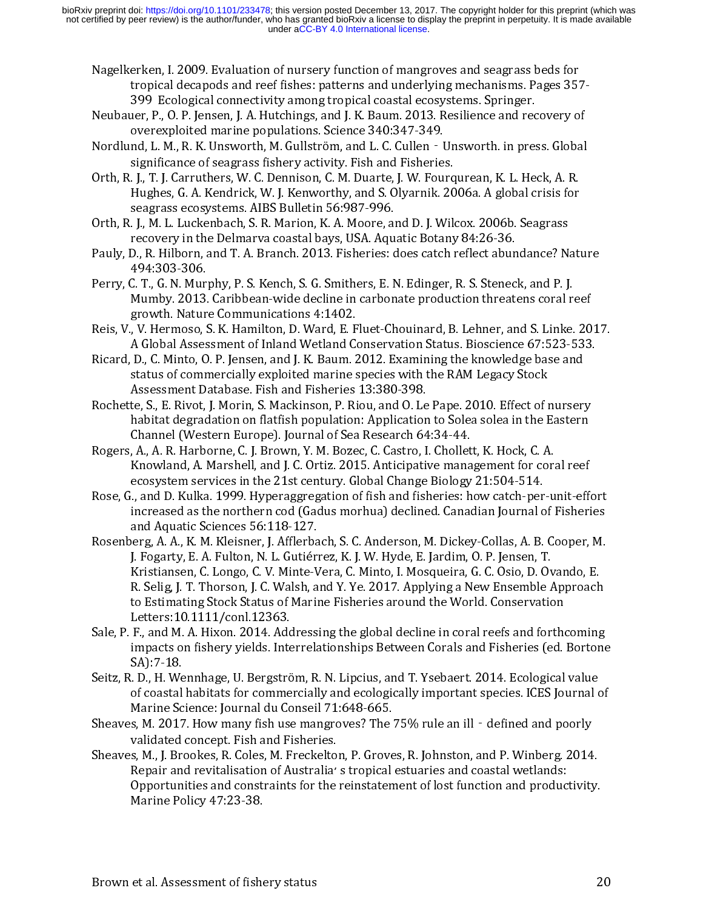Nagelkerken, I. 2009. Evaluation of nursery function of mangroves and seagrass beds for tropical decapods and reef fishes: patterns and underlying mechanisms. Pages 357- 399 Ecological connectivity among tropical coastal ecosystems. Springer.

- Neubauer, P., O. P. Jensen, J. A. Hutchings, and J. K. Baum. 2013. Resilience and recovery of overexploited marine populations. Science 340:347-349.
- significance of seagrass fishery activity. Fish and Fisheries.
- Nordlund, L. M., R. K. Unsworth, M. Gullström, and L. C. Cullen Unsworth. in press. Global<br>significance of seagrass fishery activity. Fish and Fisheries.<br>Orth, R. J., T. J. Carruthers, W. C. Dennison, C. M. Duarte, J. W. Orth, R. J., T. J. Carruthers, W. C. Dennison, C. M. Duarte, J. W. Fourqurean, K. L. Heck, A. R. Hughes, G. A. Kendrick, W. J. Kenworthy, and S. Olyarnik. 2006a. A global crisis for seagrass ecosystems. AIBS Bulletin 56:987-996.
- Orth, R. J., M. L. Luckenbach, S. R. Marion, K. A. Moore, and D. J. Wilcox. 2006b. Seagrass recovery in the Delmarva coastal bays, USA. Aquatic Botany 84:26-36.
- Pauly, D., R. Hilborn, and T. A. Branch. 2013. Fisheries: does catch reflect abundance? Nature 494:303-306.
- Perry, C. T., G. N. Murphy, P. S. Kench, S. G. Smithers, E. N. Edinger, R. S. Steneck, and P. J. Mumby. 2013. Caribbean-wide decline in carbonate production threatens coral reef growth. Nature Communications 4:1402.
- Reis, V., V. Hermoso, S. K. Hamilton, D. Ward, E. Fluet-Chouinard, B. Lehner, and S. Linke. 2017. A Global Assessment of Inland Wetland Conservation Status. Bioscience 67:523-533.
- Ricard, D., C. Minto, O. P. Jensen, and J. K. Baum. 2012. Examining the knowledge base and status of commercially exploited marine species with the RAM Legacy Stock Assessment Database. Fish and Fisheries 13:380-398.
- Rochette, S., E. Rivot, J. Morin, S. Mackinson, P. Riou, and O. Le Pape. 2010. Effect of nursery habitat degradation on flatfish population: Application to Solea solea in the Eastern Channel (Western Europe). Journal of Sea Research 64:34-44.
- Rogers, A., A. R. Harborne, C. J. Brown, Y. M. Bozec, C. Castro, I. Chollett, K. Hock, C. A. Knowland, A. Marshell, and J. C. Ortiz. 2015. Anticipative management for coral reef ecosystem services in the 21st century. Global Change Biology 21:504-514.
- Rose, G., and D. Kulka. 1999. Hyperaggregation of fish and fisheries: how catch-per-unit-effort increased as the northern cod (Gadus morhua) declined. Canadian Journal of Fisheries and Aquatic Sciences 56:118-127.
- Rosenberg, A. A., K. M. Kleisner, J. Afflerbach, S. C. Anderson, M. Dickey-Collas, A. B. Cooper, M. J. Fogarty, E. A. Fulton, N. L. Gutiérrez, K. J. W. Hyde, E. Jardim, O. P. Jensen, T. Kristiansen, C. Longo, C. V. Minte-Vera, C. Minto, I. Mosqueira, G. C. Osio, D. Ovando, E. R. Selig, J. T. Thorson, J. C. Walsh, and Y. Ye. 2017. Applying a New Ensemble Approach to Estimating Stock Status of Marine Fisheries around the World. Conservation Letters:10.1111/conl.12363.
- Sale, P. F., and M. A. Hixon. 2014. Addressing the global decline in coral reefs and forthcoming impacts on fishery yields. Interrelationships Between Corals and Fisheries (ed. Bortone SA):7-18.
- Seitz, R. D., H. Wennhage, U. Bergström, R. N. Lipcius, and T. Ysebaert. 2014. Ecological value of coastal habitats for commercially and ecologically important species. ICES Journal of Marine Science: Journal du Conseil 71:648-665.
- validated concept. Fish and Fisheries.
- Sheaves, M. 2017. How many fish use mangroves? The 75% rule an ill defined and poorly<br>validated concept. Fish and Fisheries.<br>Sheaves, M., J. Brookes, R. Coles, M. Freckelton, P. Groves, R. Johnston, and P. Winberg. 2014<br> Sheaves, M., J. Brookes, R. Coles, M. Freckelton, P. Groves, R. Johnston, and P. Winberg. 2014. Repair and revitalisation of Australia<sup>,</sup> s tropical estuaries and coastal wetlands:<br>Opportunities and constraints for the reinstatement of lost function and produc<br>Marine Policy 47:23-38. Opportunities and constraints for the reinstatement of lost function and productivity. Marine Policy 47:23-38.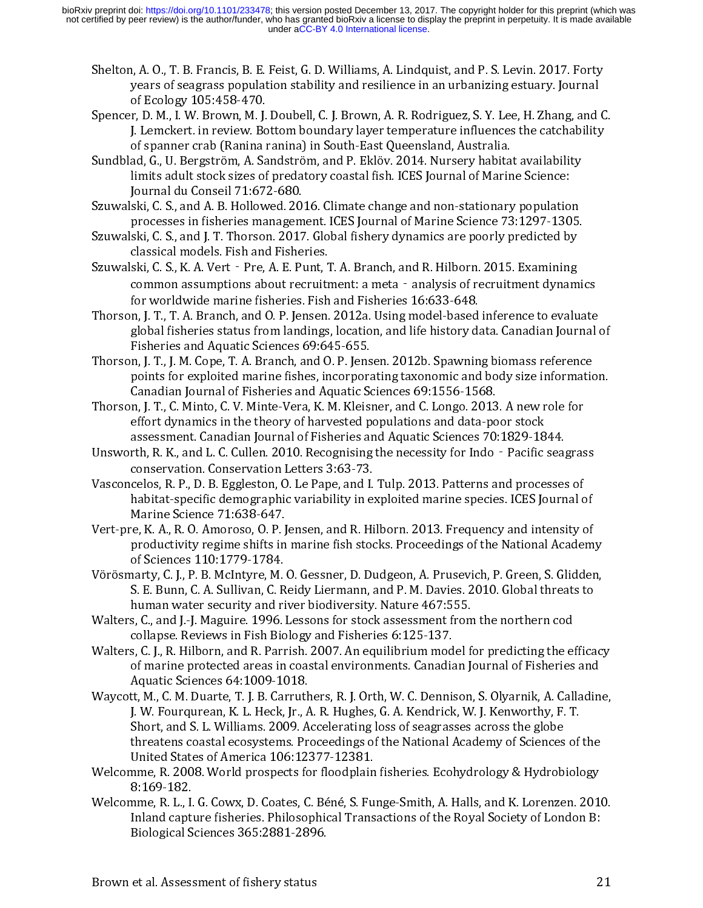- Shelton, A. O., T. B. Francis, B. E. Feist, G. D. Williams, A. Lindquist, and P. S. Levin. 2017. Forty years of seagrass population stability and resilience in an urbanizing estuary. Journal of Ecology 105:458-470.
- Spencer, D. M., I. W. Brown, M. J. Doubell, C. J. Brown, A. R. Rodriguez, S. Y. Lee, H. Zhang, and C. J. Lemckert. in review. Bottom boundary layer temperature influences the catchability of spanner crab (Ranina ranina) in South-East Queensland, Australia.
- Sundblad, G., U. Bergström, A. Sandström, and P. Eklöv. 2014. Nursery habitat availability limits adult stock sizes of predatory coastal fish. ICES Journal of Marine Science: Journal du Conseil 71:672-680.
- Szuwalski, C. S., and A. B. Hollowed. 2016. Climate change and non-stationary population processes in fisheries management. ICES Journal of Marine Science 73:1297-1305.
- Szuwalski, C. S., and J. T. Thorson. 2017. Global fishery dynamics are poorly predicted by classical models. Fish and Fisheries.
- for worldwide marine fisheries. Fish and Fisheries 16:633-648.
- Szuwalski, C. S., K. A. Vert Pre, A. E. Punt, T. A. Branch, and R. Hilborn. 2015. Examining<br>common assumptions about recruitment: a meta analysis of recruitment dynan<br>for worldwide marine fisheries. Fish and Fisheries common assumptions about recruitment: a meta - analysis of recruitment dynamics<br>for worldwide marine fisheries. Fish and Fisheries 16:633-648.<br>n, J. T., T. A. Branch, and 0. P. Jensen. 2012a. Using model-based inference to Thorson, J. T., T. A. Branch, and O. P. Jensen. 2012a. Using model-based inference to evaluate global fisheries status from landings, location, and life history data. Canadian Journal of Fisheries and Aquatic Sciences 69:645-655.
- Thorson, J. T., J. M. Cope, T. A. Branch, and O. P. Jensen. 2012b. Spawning biomass reference points for exploited marine fishes, incorporating taxonomic and body size information. Canadian Journal of Fisheries and Aquatic Sciences 69:1556-1568.
- Thorson, J. T., C. Minto, C. V. Minte-Vera, K. M. Kleisner, and C. Longo. 2013. A new role for effort dynamics in the theory of harvested populations and data-poor stock assessment. Canadian Journal of Fisheries and Aquatic Sciences 70:1829-1844.
- conservation. Conservation Letters 3:63-73.
- Vasconcelos, R. P., D. B. Eggleston, O. Le Pape, and I. Tulp. 2013. Patterns and processes of habitat-specific demographic variability in exploited marine species. ICES Journal of Marine Science 71:638-647.
- Vert-pre, K. A., R. O. Amoroso, O. P. Jensen, and R. Hilborn. 2013. Frequency and intensity of productivity regime shifts in marine fish stocks. Proceedings of the National Academy of Sciences 110:1779-1784.
- Unsworth, R. K., and L. C. Cullen. 2010. Recognising the necessity for Indo Pacific seagrass<br>
conservation. Conservation Letters 3:63-73.<br>
Vasconcelos, R. P., D. B. Eggleston, O. Le Pape, and I. Tulp. 2013. Patterns and Vörösmarty, C. J., P. B. McIntyre, M. O. Gessner, D. Dudgeon, A. Prusevich, P. Green, S. Glidden, S. E. Bunn, C. A. Sullivan, C. Reidy Liermann, and P. M. Davies. 2010. Global threats to human water security and river biodiversity. Nature 467:555.
- Walters, C., and J.-J. Maguire. 1996. Lessons for stock assessment from the northern cod collapse. Reviews in Fish Biology and Fisheries 6:125-137.
- Walters, C. L. R. Hilborn, and R. Parrish. 2007. An equilibrium model for predicting the efficacy of marine protected areas in coastal environments. Canadian Journal of Fisheries and Aquatic Sciences 64:1009-1018.
- Waycott, M., C. M. Duarte, T. J. B. Carruthers, R. J. Orth, W. C. Dennison, S. Olyarnik, A. Calladine, J. W. Fourqurean, K. L. Heck, Jr., A. R. Hughes, G. A. Kendrick, W. J. Kenworthy, F. T. Short, and S. L. Williams. 2009. Accelerating loss of seagrasses across the globe threatens coastal ecosystems. Proceedings of the National Academy of Sciences of the United States of America 106:12377-12381.
- Welcomme, R. 2008. World prospects for floodplain fisheries. Ecohydrology & Hydrobiology 8:169-182.
- Welcomme, R. L., I. G. Cowx, D. Coates, C. Béné, S. Funge-Smith, A. Halls, and K. Lorenzen. 2010. Inland capture fisheries. Philosophical Transactions of the Royal Society of London B: Biological Sciences 365:2881-2896.